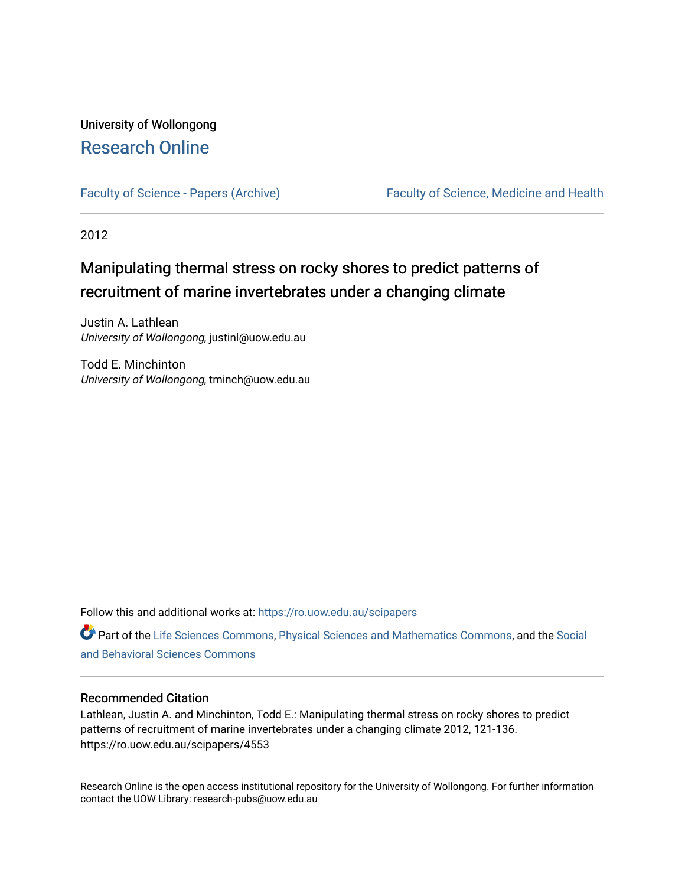# University of Wollongong [Research Online](https://ro.uow.edu.au/)

[Faculty of Science - Papers \(Archive\)](https://ro.uow.edu.au/scipapers) Faculty of Science, Medicine and Health

2012

# Manipulating thermal stress on rocky shores to predict patterns of recruitment of marine invertebrates under a changing climate

Justin A. Lathlean University of Wollongong, justinl@uow.edu.au

Todd E. Minchinton University of Wollongong, tminch@uow.edu.au

Follow this and additional works at: [https://ro.uow.edu.au/scipapers](https://ro.uow.edu.au/scipapers?utm_source=ro.uow.edu.au%2Fscipapers%2F4553&utm_medium=PDF&utm_campaign=PDFCoverPages)

Part of the [Life Sciences Commons,](http://network.bepress.com/hgg/discipline/1016?utm_source=ro.uow.edu.au%2Fscipapers%2F4553&utm_medium=PDF&utm_campaign=PDFCoverPages) [Physical Sciences and Mathematics Commons,](http://network.bepress.com/hgg/discipline/114?utm_source=ro.uow.edu.au%2Fscipapers%2F4553&utm_medium=PDF&utm_campaign=PDFCoverPages) and the [Social](http://network.bepress.com/hgg/discipline/316?utm_source=ro.uow.edu.au%2Fscipapers%2F4553&utm_medium=PDF&utm_campaign=PDFCoverPages)  [and Behavioral Sciences Commons](http://network.bepress.com/hgg/discipline/316?utm_source=ro.uow.edu.au%2Fscipapers%2F4553&utm_medium=PDF&utm_campaign=PDFCoverPages) 

## Recommended Citation

Lathlean, Justin A. and Minchinton, Todd E.: Manipulating thermal stress on rocky shores to predict patterns of recruitment of marine invertebrates under a changing climate 2012, 121-136. https://ro.uow.edu.au/scipapers/4553

Research Online is the open access institutional repository for the University of Wollongong. For further information contact the UOW Library: research-pubs@uow.edu.au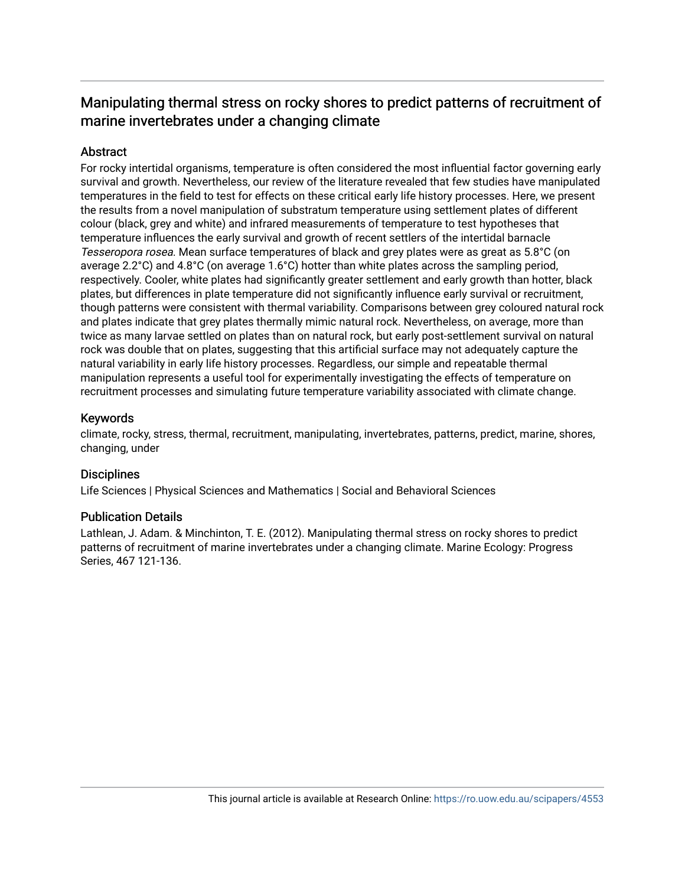# Manipulating thermal stress on rocky shores to predict patterns of recruitment of marine invertebrates under a changing climate

# Abstract

For rocky intertidal organisms, temperature is often considered the most influential factor governing early survival and growth. Nevertheless, our review of the literature revealed that few studies have manipulated temperatures in the field to test for effects on these critical early life history processes. Here, we present the results from a novel manipulation of substratum temperature using settlement plates of different colour (black, grey and white) and infrared measurements of temperature to test hypotheses that temperature influences the early survival and growth of recent settlers of the intertidal barnacle Tesseropora rosea. Mean surface temperatures of black and grey plates were as great as 5.8°C (on average 2.2°C) and 4.8°C (on average 1.6°C) hotter than white plates across the sampling period, respectively. Cooler, white plates had significantly greater settlement and early growth than hotter, black plates, but differences in plate temperature did not significantly influence early survival or recruitment, though patterns were consistent with thermal variability. Comparisons between grey coloured natural rock and plates indicate that grey plates thermally mimic natural rock. Nevertheless, on average, more than twice as many larvae settled on plates than on natural rock, but early post-settlement survival on natural rock was double that on plates, suggesting that this artificial surface may not adequately capture the natural variability in early life history processes. Regardless, our simple and repeatable thermal manipulation represents a useful tool for experimentally investigating the effects of temperature on recruitment processes and simulating future temperature variability associated with climate change.

# Keywords

climate, rocky, stress, thermal, recruitment, manipulating, invertebrates, patterns, predict, marine, shores, changing, under

## **Disciplines**

Life Sciences | Physical Sciences and Mathematics | Social and Behavioral Sciences

## Publication Details

Lathlean, J. Adam. & Minchinton, T. E. (2012). Manipulating thermal stress on rocky shores to predict patterns of recruitment of marine invertebrates under a changing climate. Marine Ecology: Progress Series, 467 121-136.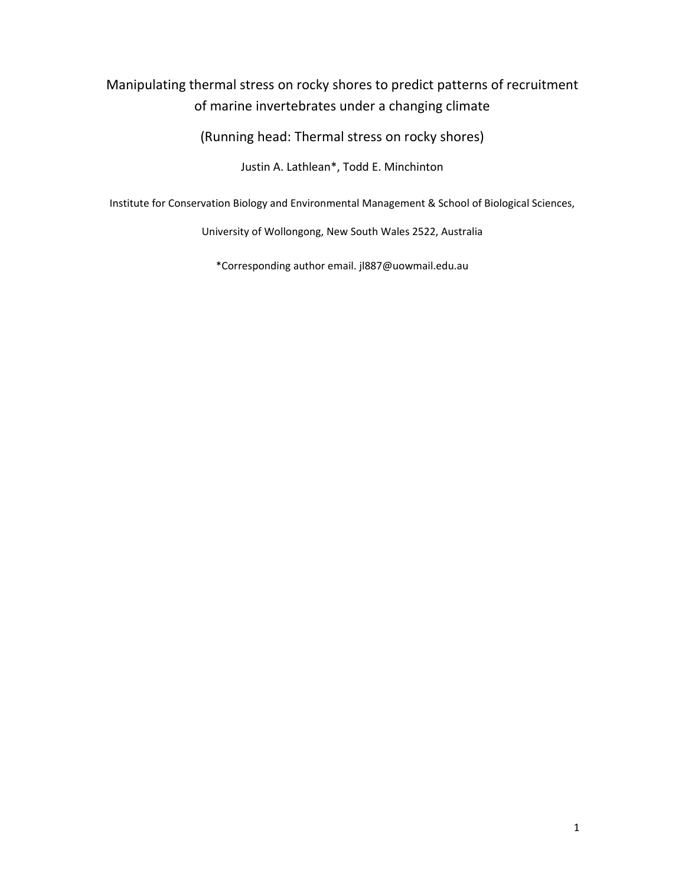# Manipulating thermal stress on rocky shores to predict patterns of recruitment of marine invertebrates under a changing climate

(Running head: Thermal stress on rocky shores)

Justin A. Lathlean\*, Todd E. Minchinton

Institute for Conservation Biology and Environmental Management & School of Biological Sciences,

University of Wollongong, New South Wales 2522, Australia

\*Corresponding author email. jl887@uowmail.edu.au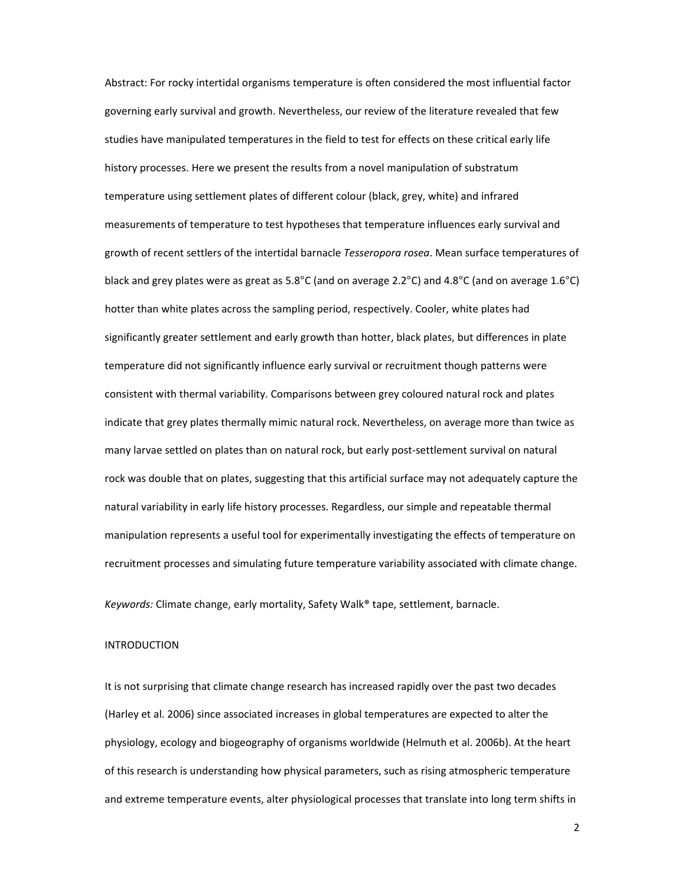Abstract: For rocky intertidal organisms temperature is often considered the most influential factor governing early survival and growth. Nevertheless, our review of the literature revealed that few studies have manipulated temperatures in the field to test for effects on these critical early life history processes. Here we present the results from a novel manipulation of substratum temperature using settlement plates of different colour (black, grey, white) and infrared measurements of temperature to test hypotheses that temperature influences early survival and growth of recent settlers of the intertidal barnacle *Tesseropora rosea*. Mean surface temperatures of black and grey plates were as great as 5.8°C (and on average 2.2°C) and 4.8°C (and on average 1.6°C) hotter than white plates across the sampling period, respectively. Cooler, white plates had significantly greater settlement and early growth than hotter, black plates, but differences in plate temperature did not significantly influence early survival or recruitment though patterns were consistent with thermal variability. Comparisons between grey coloured natural rock and plates indicate that grey plates thermally mimic natural rock. Nevertheless, on average more than twice as many larvae settled on plates than on natural rock, but early post‐settlement survival on natural rock was double that on plates, suggesting that this artificial surface may not adequately capture the natural variability in early life history processes. Regardless, our simple and repeatable thermal manipulation represents a useful tool for experimentally investigating the effects of temperature on recruitment processes and simulating future temperature variability associated with climate change.

*Keywords:* Climate change, early mortality, Safety Walk® tape, settlement, barnacle.

#### INTRODUCTION

It is not surprising that climate change research has increased rapidly over the past two decades (Harley et al. 2006) since associated increases in global temperatures are expected to alter the physiology, ecology and biogeography of organisms worldwide (Helmuth et al. 2006b). At the heart of this research is understanding how physical parameters, such as rising atmospheric temperature and extreme temperature events, alter physiological processes that translate into long term shifts in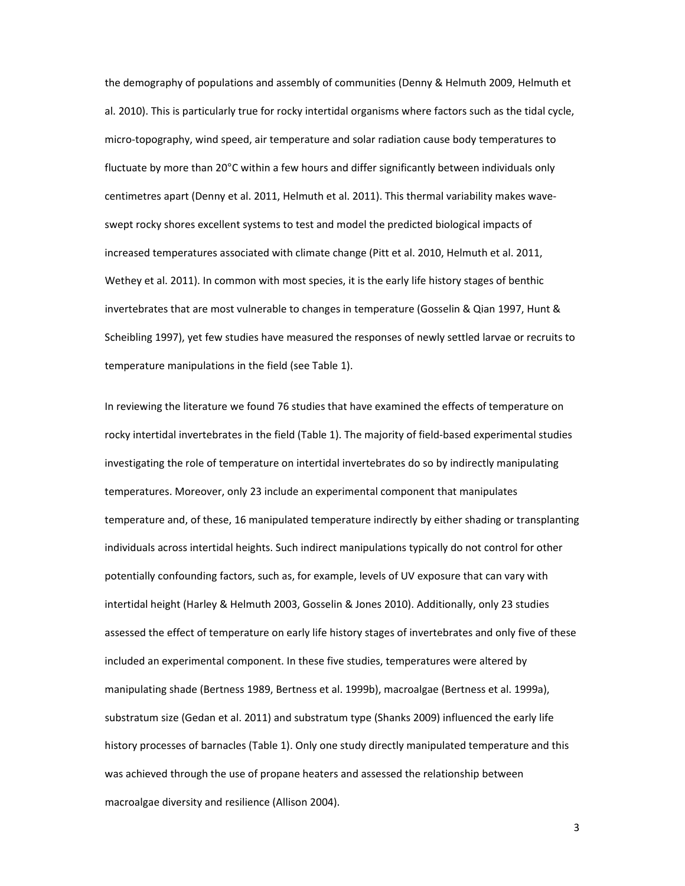the demography of populations and assembly of communities (Denny & Helmuth 2009, Helmuth et al. 2010). This is particularly true for rocky intertidal organisms where factors such as the tidal cycle, micro‐topography, wind speed, air temperature and solar radiation cause body temperatures to fluctuate by more than 20°C within a few hours and differ significantly between individuals only centimetres apart (Denny et al. 2011, Helmuth et al. 2011). This thermal variability makes wave‐ swept rocky shores excellent systems to test and model the predicted biological impacts of increased temperatures associated with climate change (Pitt et al. 2010, Helmuth et al. 2011, Wethey et al. 2011). In common with most species, it is the early life history stages of benthic invertebrates that are most vulnerable to changes in temperature (Gosselin & Qian 1997, Hunt & Scheibling 1997), yet few studies have measured the responses of newly settled larvae or recruits to temperature manipulations in the field (see Table 1).

In reviewing the literature we found 76 studies that have examined the effects of temperature on rocky intertidal invertebrates in the field (Table 1). The majority of field‐based experimental studies investigating the role of temperature on intertidal invertebrates do so by indirectly manipulating temperatures. Moreover, only 23 include an experimental component that manipulates temperature and, of these, 16 manipulated temperature indirectly by either shading or transplanting individuals across intertidal heights. Such indirect manipulations typically do not control for other potentially confounding factors, such as, for example, levels of UV exposure that can vary with intertidal height (Harley & Helmuth 2003, Gosselin & Jones 2010). Additionally, only 23 studies assessed the effect of temperature on early life history stages of invertebrates and only five of these included an experimental component. In these five studies, temperatures were altered by manipulating shade (Bertness 1989, Bertness et al. 1999b), macroalgae (Bertness et al. 1999a), substratum size (Gedan et al. 2011) and substratum type (Shanks 2009) influenced the early life history processes of barnacles (Table 1). Only one study directly manipulated temperature and this was achieved through the use of propane heaters and assessed the relationship between macroalgae diversity and resilience (Allison 2004).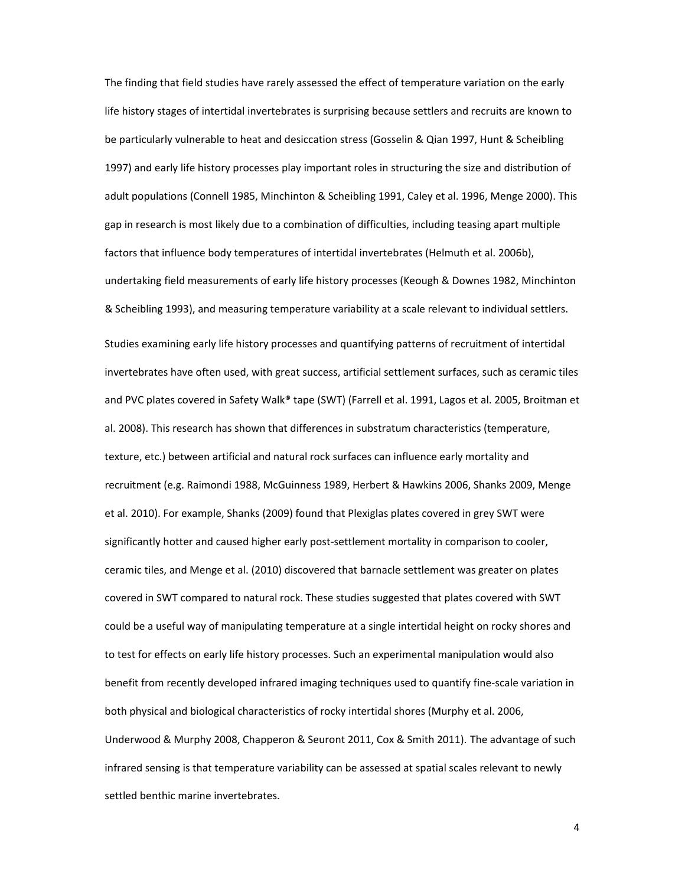The finding that field studies have rarely assessed the effect of temperature variation on the early life history stages of intertidal invertebrates is surprising because settlers and recruits are known to be particularly vulnerable to heat and desiccation stress (Gosselin & Qian 1997, Hunt & Scheibling 1997) and early life history processes play important roles in structuring the size and distribution of adult populations (Connell 1985, Minchinton & Scheibling 1991, Caley et al. 1996, Menge 2000). This gap in research is most likely due to a combination of difficulties, including teasing apart multiple factors that influence body temperatures of intertidal invertebrates (Helmuth et al. 2006b), undertaking field measurements of early life history processes (Keough & Downes 1982, Minchinton & Scheibling 1993), and measuring temperature variability at a scale relevant to individual settlers. Studies examining early life history processes and quantifying patterns of recruitment of intertidal invertebrates have often used, with great success, artificial settlement surfaces, such as ceramic tiles and PVC plates covered in Safety Walk® tape (SWT) (Farrell et al. 1991, Lagos et al. 2005, Broitman et al. 2008). This research has shown that differences in substratum characteristics (temperature, texture, etc.) between artificial and natural rock surfaces can influence early mortality and recruitment (e.g. Raimondi 1988, McGuinness 1989, Herbert & Hawkins 2006, Shanks 2009, Menge et al. 2010). For example, Shanks (2009) found that Plexiglas plates covered in grey SWT were significantly hotter and caused higher early post-settlement mortality in comparison to cooler, ceramic tiles, and Menge et al. (2010) discovered that barnacle settlement was greater on plates covered in SWT compared to natural rock. These studies suggested that plates covered with SWT could be a useful way of manipulating temperature at a single intertidal height on rocky shores and to test for effects on early life history processes. Such an experimental manipulation would also benefit from recently developed infrared imaging techniques used to quantify fine‐scale variation in both physical and biological characteristics of rocky intertidal shores (Murphy et al. 2006, Underwood & Murphy 2008, Chapperon & Seuront 2011, Cox & Smith 2011). The advantage of such infrared sensing is that temperature variability can be assessed at spatial scales relevant to newly settled benthic marine invertebrates.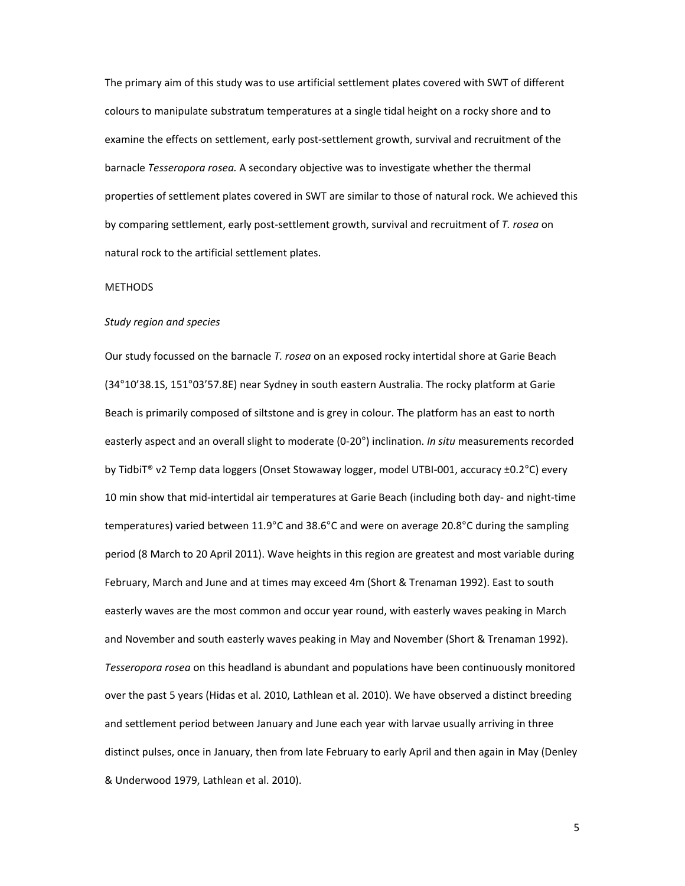The primary aim of this study was to use artificial settlement plates covered with SWT of different colours to manipulate substratum temperatures at a single tidal height on a rocky shore and to examine the effects on settlement, early post-settlement growth, survival and recruitment of the barnacle *Tesseropora rosea.* A secondary objective was to investigate whether the thermal properties of settlement plates covered in SWT are similar to those of natural rock. We achieved this by comparing settlement, early post‐settlement growth, survival and recruitment of *T. rosea* on natural rock to the artificial settlement plates.

#### METHODS

#### *Study region and species*

Our study focussed on the barnacle *T. rosea* on an exposed rocky intertidal shore at Garie Beach (34°10'38.1S, 151°03'57.8E) near Sydney in south eastern Australia. The rocky platform at Garie Beach is primarily composed of siltstone and is grey in colour. The platform has an east to north easterly aspect and an overall slight to moderate (0‐20°) inclination. *In situ* measurements recorded by TidbiT® v2 Temp data loggers (Onset Stowaway logger, model UTBI‐001, accuracy ±0.2°C) every 10 min show that mid‐intertidal air temperatures at Garie Beach (including both day‐ and night‐time temperatures) varied between 11.9°C and 38.6°C and were on average 20.8°C during the sampling period (8 March to 20 April 2011). Wave heights in this region are greatest and most variable during February, March and June and at times may exceed 4m (Short & Trenaman 1992). East to south easterly waves are the most common and occur year round, with easterly waves peaking in March and November and south easterly waves peaking in May and November (Short & Trenaman 1992). *Tesseropora rosea* on this headland is abundant and populations have been continuously monitored over the past 5 years (Hidas et al. 2010, Lathlean et al. 2010). We have observed a distinct breeding and settlement period between January and June each year with larvae usually arriving in three distinct pulses, once in January, then from late February to early April and then again in May (Denley & Underwood 1979, Lathlean et al. 2010).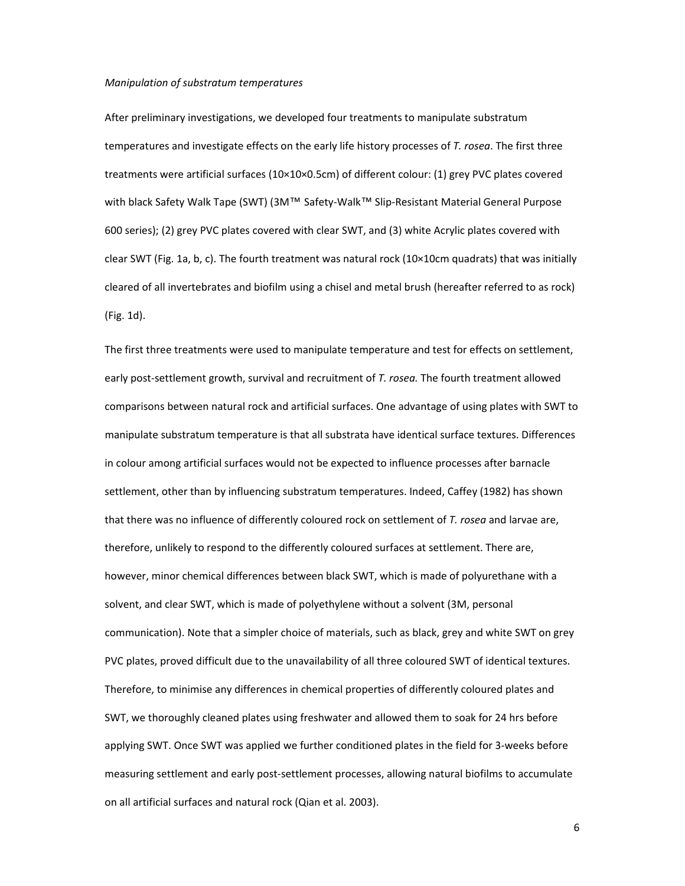#### *Manipulation of substratum temperatures*

After preliminary investigations, we developed four treatments to manipulate substratum temperatures and investigate effects on the early life history processes of *T. rosea*. The first three treatments were artificial surfaces (10×10×0.5cm) of different colour: (1) grey PVC plates covered with black Safety Walk Tape (SWT) (3M™ Safety-Walk™ Slip-Resistant Material General Purpose 600 series); (2) grey PVC plates covered with clear SWT, and (3) white Acrylic plates covered with clear SWT (Fig. 1a, b, c). The fourth treatment was natural rock (10×10cm quadrats) that was initially cleared of all invertebrates and biofilm using a chisel and metal brush (hereafter referred to as rock) (Fig. 1d).

The first three treatments were used to manipulate temperature and test for effects on settlement, early post‐settlement growth, survival and recruitment of *T. rosea.* The fourth treatment allowed comparisons between natural rock and artificial surfaces. One advantage of using plates with SWT to manipulate substratum temperature is that all substrata have identical surface textures. Differences in colour among artificial surfaces would not be expected to influence processes after barnacle settlement, other than by influencing substratum temperatures. Indeed, Caffey (1982) has shown that there was no influence of differently coloured rock on settlement of *T. rosea* and larvae are, therefore, unlikely to respond to the differently coloured surfaces at settlement. There are, however, minor chemical differences between black SWT, which is made of polyurethane with a solvent, and clear SWT, which is made of polyethylene without a solvent (3M, personal communication). Note that a simpler choice of materials, such as black, grey and white SWT on grey PVC plates, proved difficult due to the unavailability of all three coloured SWT of identical textures. Therefore, to minimise any differences in chemical properties of differently coloured plates and SWT, we thoroughly cleaned plates using freshwater and allowed them to soak for 24 hrs before applying SWT. Once SWT was applied we further conditioned plates in the field for 3‐weeks before measuring settlement and early post‐settlement processes, allowing natural biofilms to accumulate on all artificial surfaces and natural rock (Qian et al. 2003).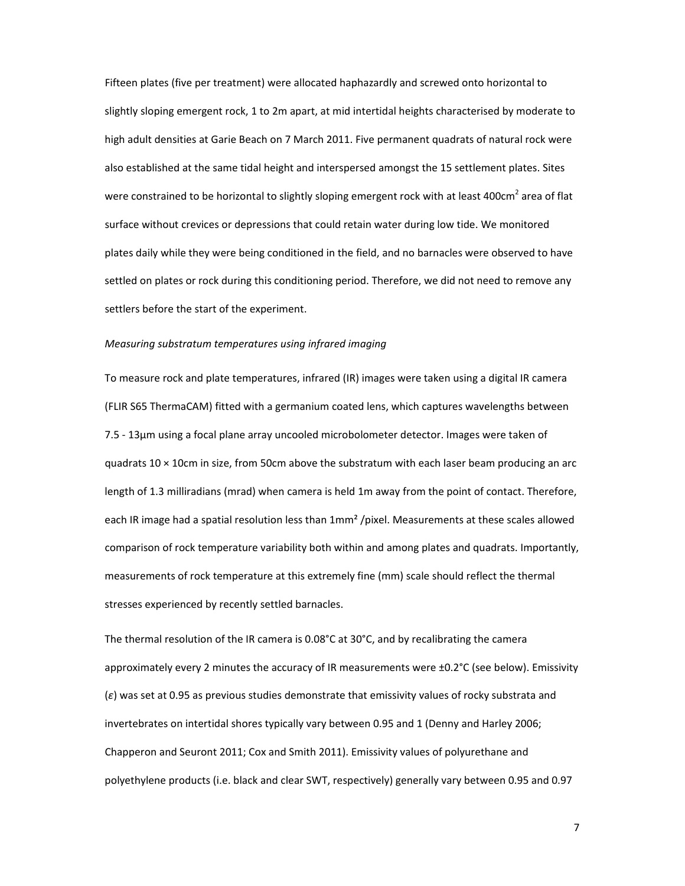Fifteen plates (five per treatment) were allocated haphazardly and screwed onto horizontal to slightly sloping emergent rock, 1 to 2m apart, at mid intertidal heights characterised by moderate to high adult densities at Garie Beach on 7 March 2011. Five permanent quadrats of natural rock were also established at the same tidal height and interspersed amongst the 15 settlement plates. Sites were constrained to be horizontal to slightly sloping emergent rock with at least 400cm<sup>2</sup> area of flat surface without crevices or depressions that could retain water during low tide. We monitored plates daily while they were being conditioned in the field, and no barnacles were observed to have settled on plates or rock during this conditioning period. Therefore, we did not need to remove any settlers before the start of the experiment.

### *Measuring substratum temperatures using infrared imaging*

To measure rock and plate temperatures, infrared (IR) images were taken using a digital IR camera (FLIR S65 ThermaCAM) fitted with a germanium coated lens, which captures wavelengths between 7.5 ‐ 13µm using a focal plane array uncooled microbolometer detector. Images were taken of quadrats 10 × 10cm in size, from 50cm above the substratum with each laser beam producing an arc length of 1.3 milliradians (mrad) when camera is held 1m away from the point of contact. Therefore, each IR image had a spatial resolution less than 1mm² /pixel. Measurements at these scales allowed comparison of rock temperature variability both within and among plates and quadrats. Importantly, measurements of rock temperature at this extremely fine (mm) scale should reflect the thermal stresses experienced by recently settled barnacles.

The thermal resolution of the IR camera is 0.08°C at 30°C, and by recalibrating the camera approximately every 2 minutes the accuracy of IR measurements were ±0.2°C (see below). Emissivity (*ɛ*) was set at 0.95 as previous studies demonstrate that emissivity values of rocky substrata and invertebrates on intertidal shores typically vary between 0.95 and 1 (Denny and Harley 2006; Chapperon and Seuront 2011; Cox and Smith 2011). Emissivity values of polyurethane and polyethylene products (i.e. black and clear SWT, respectively) generally vary between 0.95 and 0.97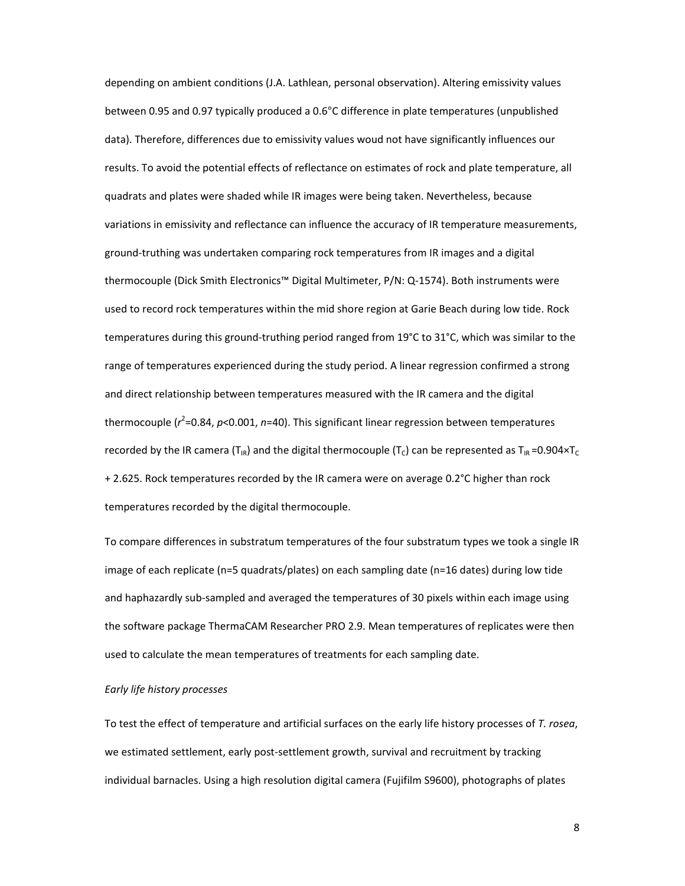depending on ambient conditions (J.A. Lathlean, personal observation). Altering emissivity values between 0.95 and 0.97 typically produced a 0.6°C difference in plate temperatures (unpublished data). Therefore, differences due to emissivity values woud not have significantly influences our results. To avoid the potential effects of reflectance on estimates of rock and plate temperature, all quadrats and plates were shaded while IR images were being taken. Nevertheless, because variations in emissivity and reflectance can influence the accuracy of IR temperature measurements, ground‐truthing was undertaken comparing rock temperatures from IR images and a digital thermocouple (Dick Smith Electronics™ Digital Multimeter, P/N: Q‐1574). Both instruments were used to record rock temperatures within the mid shore region at Garie Beach during low tide. Rock temperatures during this ground-truthing period ranged from 19°C to 31°C, which was similar to the range of temperatures experienced during the study period. A linear regression confirmed a strong and direct relationship between temperatures measured with the IR camera and the digital thermocouple ( $r^2$ =0.84, p<0.001, n=40). This significant linear regression between temperatures recorded by the IR camera (T<sub>IR</sub>) and the digital thermocouple (T<sub>c</sub>) can be represented as T<sub>IR</sub> =0.904×T<sub>C</sub> + 2.625. Rock temperatures recorded by the IR camera were on average 0.2°C higher than rock temperatures recorded by the digital thermocouple.

To compare differences in substratum temperatures of the four substratum types we took a single IR image of each replicate (n=5 quadrats/plates) on each sampling date (n=16 dates) during low tide and haphazardly sub-sampled and averaged the temperatures of 30 pixels within each image using the software package ThermaCAM Researcher PRO 2.9. Mean temperatures of replicates were then used to calculate the mean temperatures of treatments for each sampling date.

## *Early life history processes*

To test the effect of temperature and artificial surfaces on the early life history processes of *T. rosea*, we estimated settlement, early post-settlement growth, survival and recruitment by tracking individual barnacles. Using a high resolution digital camera (Fujifilm S9600), photographs of plates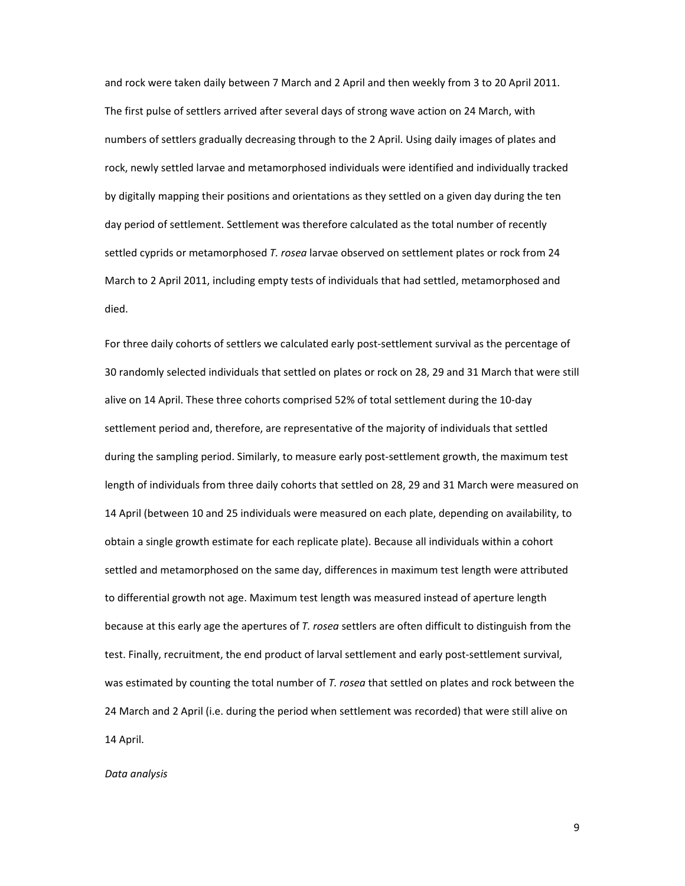and rock were taken daily between 7 March and 2 April and then weekly from 3 to 20 April 2011. The first pulse of settlers arrived after several days of strong wave action on 24 March, with numbers of settlers gradually decreasing through to the 2 April. Using daily images of plates and rock, newly settled larvae and metamorphosed individuals were identified and individually tracked by digitally mapping their positions and orientations as they settled on a given day during the ten day period of settlement. Settlement was therefore calculated as the total number of recently settled cyprids or metamorphosed *T. rosea* larvae observed on settlement plates or rock from 24 March to 2 April 2011, including empty tests of individuals that had settled, metamorphosed and died.

For three daily cohorts of settlers we calculated early post-settlement survival as the percentage of 30 randomly selected individuals that settled on plates or rock on 28, 29 and 31 March that were still alive on 14 April. These three cohorts comprised 52% of total settlement during the 10‐day settlement period and, therefore, are representative of the majority of individuals that settled during the sampling period. Similarly, to measure early post‐settlement growth, the maximum test length of individuals from three daily cohorts that settled on 28, 29 and 31 March were measured on 14 April (between 10 and 25 individuals were measured on each plate, depending on availability, to obtain a single growth estimate for each replicate plate). Because all individuals within a cohort settled and metamorphosed on the same day, differences in maximum test length were attributed to differential growth not age. Maximum test length was measured instead of aperture length because at this early age the apertures of *T. rosea* settlers are often difficult to distinguish from the test. Finally, recruitment, the end product of larval settlement and early post‐settlement survival, was estimated by counting the total number of *T. rosea* that settled on plates and rock between the 24 March and 2 April (i.e. during the period when settlement was recorded) that were still alive on 14 April.

*Data analysis*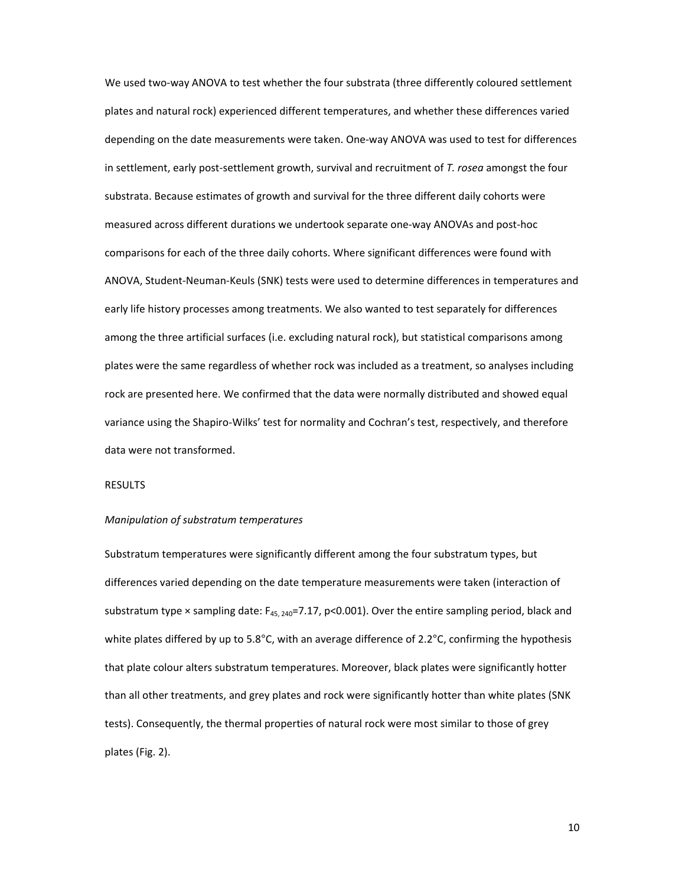We used two-way ANOVA to test whether the four substrata (three differently coloured settlement plates and natural rock) experienced different temperatures, and whether these differences varied depending on the date measurements were taken. One‐way ANOVA was used to test for differences in settlement, early post‐settlement growth, survival and recruitment of *T. rosea* amongst the four substrata. Because estimates of growth and survival for the three different daily cohorts were measured across different durations we undertook separate one‐way ANOVAs and post‐hoc comparisons for each of the three daily cohorts. Where significant differences were found with ANOVA, Student‐Neuman‐Keuls (SNK) tests were used to determine differences in temperatures and early life history processes among treatments. We also wanted to test separately for differences among the three artificial surfaces (i.e. excluding natural rock), but statistical comparisons among plates were the same regardless of whether rock was included as a treatment, so analyses including rock are presented here. We confirmed that the data were normally distributed and showed equal variance using the Shapiro-Wilks' test for normality and Cochran's test, respectively, and therefore data were not transformed.

## **RESULTS**

#### *Manipulation of substratum temperatures*

Substratum temperatures were significantly different among the four substratum types, but differences varied depending on the date temperature measurements were taken (interaction of substratum type  $\times$  sampling date:  $F_{45, 240}$ =7.17, p<0.001). Over the entire sampling period, black and white plates differed by up to 5.8°C, with an average difference of 2.2°C, confirming the hypothesis that plate colour alters substratum temperatures. Moreover, black plates were significantly hotter than all other treatments, and grey plates and rock were significantly hotter than white plates (SNK tests). Consequently, the thermal properties of natural rock were most similar to those of grey plates (Fig. 2).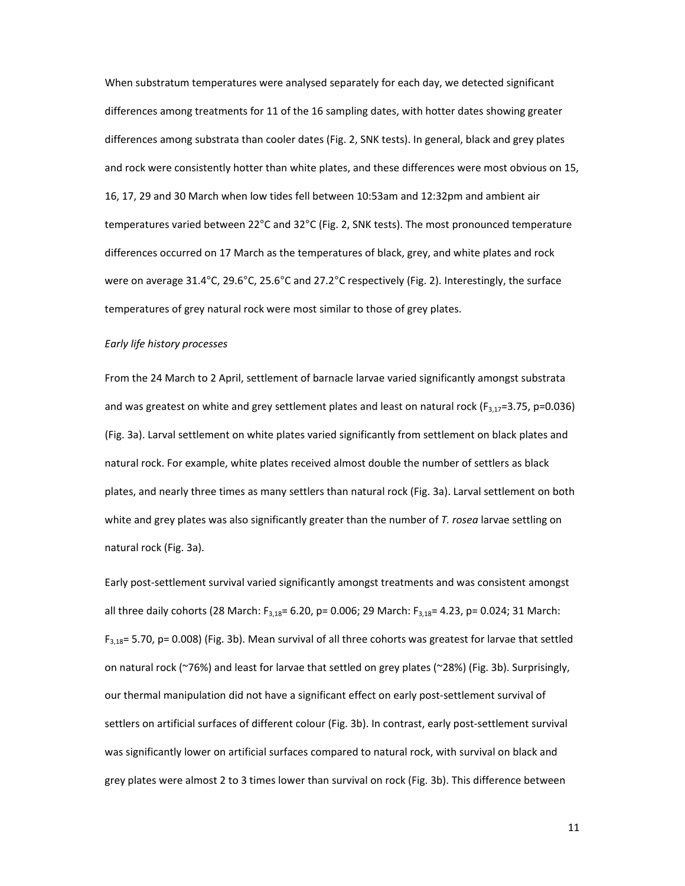When substratum temperatures were analysed separately for each day, we detected significant differences among treatments for 11 of the 16 sampling dates, with hotter dates showing greater differences among substrata than cooler dates (Fig. 2, SNK tests). In general, black and grey plates and rock were consistently hotter than white plates, and these differences were most obvious on 15, 16, 17, 29 and 30 March when low tides fell between 10:53am and 12:32pm and ambient air temperatures varied between 22°C and 32°C (Fig. 2, SNK tests). The most pronounced temperature differences occurred on 17 March as the temperatures of black, grey, and white plates and rock were on average 31.4°C, 29.6°C, 25.6°C and 27.2°C respectively (Fig. 2). Interestingly, the surface temperatures of grey natural rock were most similar to those of grey plates.

## *Early life history processes*

From the 24 March to 2 April, settlement of barnacle larvae varied significantly amongst substrata and was greatest on white and grey settlement plates and least on natural rock ( $F_{3,17}=3.75$ , p=0.036) (Fig. 3a). Larval settlement on white plates varied significantly from settlement on black plates and natural rock. For example, white plates received almost double the number of settlers as black plates, and nearly three times as many settlers than natural rock (Fig. 3a). Larval settlement on both white and grey plates was also significantly greater than the number of *T. rosea* larvae settling on natural rock (Fig. 3a).

Early post‐settlement survival varied significantly amongst treatments and was consistent amongst all three daily cohorts (28 March:  $F_{3,18}$ = 6.20, p= 0.006; 29 March:  $F_{3,18}$ = 4.23, p= 0.024; 31 March:  $F_{3,18}$ = 5.70, p= 0.008) (Fig. 3b). Mean survival of all three cohorts was greatest for larvae that settled on natural rock (~76%) and least for larvae that settled on grey plates (~28%) (Fig. 3b). Surprisingly, our thermal manipulation did not have a significant effect on early post‐settlement survival of settlers on artificial surfaces of different colour (Fig. 3b). In contrast, early post‐settlement survival was significantly lower on artificial surfaces compared to natural rock, with survival on black and grey plates were almost 2 to 3 times lower than survival on rock (Fig. 3b). This difference between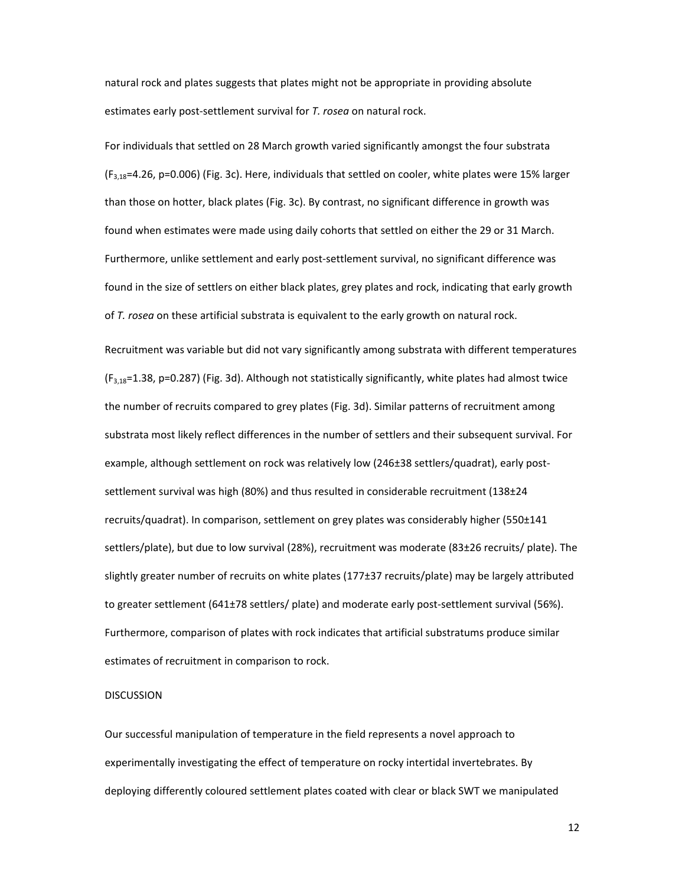natural rock and plates suggests that plates might not be appropriate in providing absolute estimates early post‐settlement survival for *T. rosea* on natural rock.

For individuals that settled on 28 March growth varied significantly amongst the four substrata  $(F_{3,18}=4.26, p=0.006)$  (Fig. 3c). Here, individuals that settled on cooler, white plates were 15% larger than those on hotter, black plates (Fig. 3c). By contrast, no significant difference in growth was found when estimates were made using daily cohorts that settled on either the 29 or 31 March. Furthermore, unlike settlement and early post‐settlement survival, no significant difference was found in the size of settlers on either black plates, grey plates and rock, indicating that early growth of *T. rosea* on these artificial substrata is equivalent to the early growth on natural rock.

Recruitment was variable but did not vary significantly among substrata with different temperatures  $(F_{3,18}=1.38, p=0.287)$  (Fig. 3d). Although not statistically significantly, white plates had almost twice the number of recruits compared to grey plates (Fig. 3d). Similar patterns of recruitment among substrata most likely reflect differences in the number of settlers and their subsequent survival. For example, although settlement on rock was relatively low (246±38 settlers/quadrat), early post‐ settlement survival was high (80%) and thus resulted in considerable recruitment (138±24 recruits/quadrat). In comparison, settlement on grey plates was considerably higher (550±141 settlers/plate), but due to low survival (28%), recruitment was moderate (83±26 recruits/ plate). The slightly greater number of recruits on white plates (177±37 recruits/plate) may be largely attributed to greater settlement (641±78 settlers/ plate) and moderate early post‐settlement survival (56%). Furthermore, comparison of plates with rock indicates that artificial substratums produce similar estimates of recruitment in comparison to rock.

### DISCUSSION

Our successful manipulation of temperature in the field represents a novel approach to experimentally investigating the effect of temperature on rocky intertidal invertebrates. By deploying differently coloured settlement plates coated with clear or black SWT we manipulated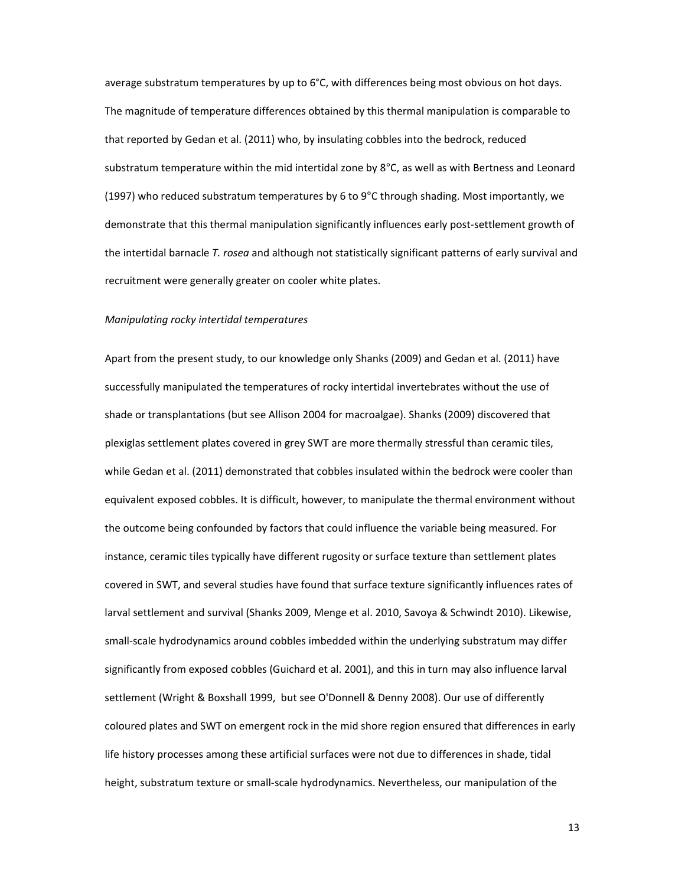average substratum temperatures by up to 6°C, with differences being most obvious on hot days. The magnitude of temperature differences obtained by this thermal manipulation is comparable to that reported by Gedan et al. (2011) who, by insulating cobbles into the bedrock, reduced substratum temperature within the mid intertidal zone by 8°C, as well as with Bertness and Leonard (1997) who reduced substratum temperatures by 6 to 9°C through shading. Most importantly, we demonstrate that this thermal manipulation significantly influences early post‐settlement growth of the intertidal barnacle *T. rosea* and although not statistically significant patterns of early survival and recruitment were generally greater on cooler white plates.

#### *Manipulating rocky intertidal temperatures*

Apart from the present study, to our knowledge only Shanks (2009) and Gedan et al. (2011) have successfully manipulated the temperatures of rocky intertidal invertebrates without the use of shade or transplantations (but see Allison 2004 for macroalgae). Shanks (2009) discovered that plexiglas settlement plates covered in grey SWT are more thermally stressful than ceramic tiles, while Gedan et al. (2011) demonstrated that cobbles insulated within the bedrock were cooler than equivalent exposed cobbles. It is difficult, however, to manipulate the thermal environment without the outcome being confounded by factors that could influence the variable being measured. For instance, ceramic tiles typically have different rugosity or surface texture than settlement plates covered in SWT, and several studies have found that surface texture significantly influences rates of larval settlement and survival (Shanks 2009, Menge et al. 2010, Savoya & Schwindt 2010). Likewise, small-scale hydrodynamics around cobbles imbedded within the underlying substratum may differ significantly from exposed cobbles (Guichard et al. 2001), and this in turn may also influence larval settlement (Wright & Boxshall 1999, but see O'Donnell & Denny 2008). Our use of differently coloured plates and SWT on emergent rock in the mid shore region ensured that differences in early life history processes among these artificial surfaces were not due to differences in shade, tidal height, substratum texture or small‐scale hydrodynamics. Nevertheless, our manipulation of the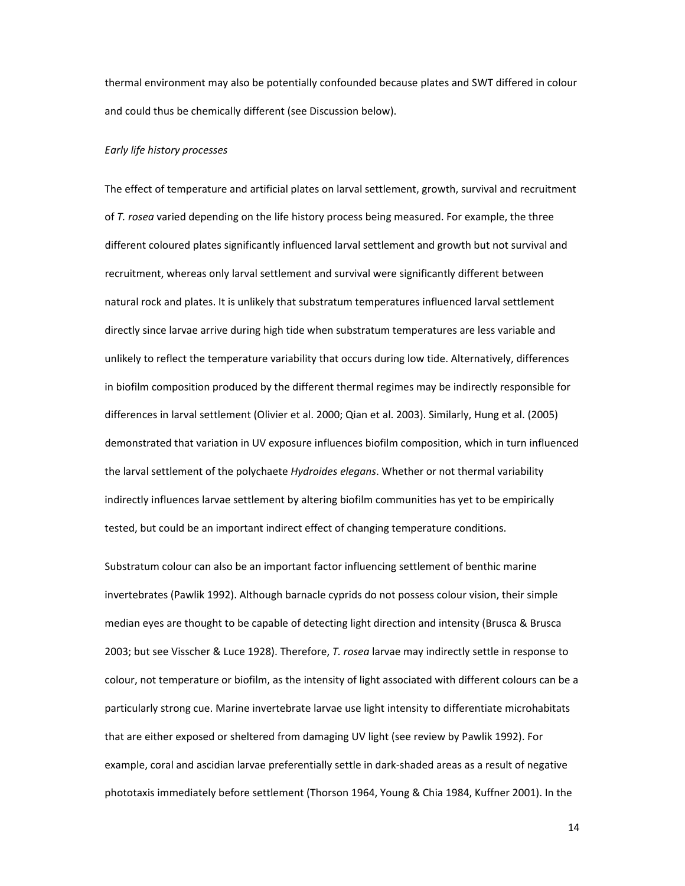thermal environment may also be potentially confounded because plates and SWT differed in colour and could thus be chemically different (see Discussion below).

#### *Early life history processes*

The effect of temperature and artificial plates on larval settlement, growth, survival and recruitment of *T. rosea* varied depending on the life history process being measured. For example, the three different coloured plates significantly influenced larval settlement and growth but not survival and recruitment, whereas only larval settlement and survival were significantly different between natural rock and plates. It is unlikely that substratum temperatures influenced larval settlement directly since larvae arrive during high tide when substratum temperatures are less variable and unlikely to reflect the temperature variability that occurs during low tide. Alternatively, differences in biofilm composition produced by the different thermal regimes may be indirectly responsible for differences in larval settlement (Olivier et al. 2000; Qian et al. 2003). Similarly, Hung et al. (2005) demonstrated that variation in UV exposure influences biofilm composition, which in turn influenced the larval settlement of the polychaete *Hydroides elegans*. Whether or not thermal variability indirectly influences larvae settlement by altering biofilm communities has yet to be empirically tested, but could be an important indirect effect of changing temperature conditions.

Substratum colour can also be an important factor influencing settlement of benthic marine invertebrates (Pawlik 1992). Although barnacle cyprids do not possess colour vision, their simple median eyes are thought to be capable of detecting light direction and intensity (Brusca & Brusca 2003; but see Visscher & Luce 1928). Therefore, *T. rosea* larvae may indirectly settle in response to colour, not temperature or biofilm, as the intensity of light associated with different colours can be a particularly strong cue. Marine invertebrate larvae use light intensity to differentiate microhabitats that are either exposed or sheltered from damaging UV light (see review by Pawlik 1992). For example, coral and ascidian larvae preferentially settle in dark‐shaded areas as a result of negative phototaxis immediately before settlement (Thorson 1964, Young & Chia 1984, Kuffner 2001). In the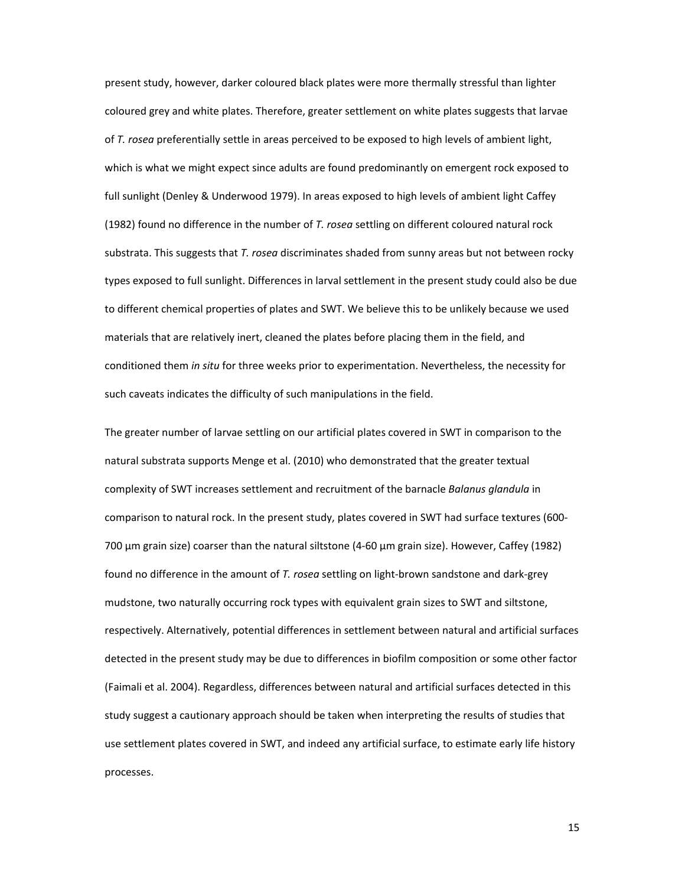present study, however, darker coloured black plates were more thermally stressful than lighter coloured grey and white plates. Therefore, greater settlement on white plates suggests that larvae of *T. rosea* preferentially settle in areas perceived to be exposed to high levels of ambient light, which is what we might expect since adults are found predominantly on emergent rock exposed to full sunlight (Denley & Underwood 1979). In areas exposed to high levels of ambient light Caffey (1982) found no difference in the number of *T. rosea* settling on different coloured natural rock substrata. This suggests that *T. rosea* discriminates shaded from sunny areas but not between rocky types exposed to full sunlight. Differences in larval settlement in the present study could also be due to different chemical properties of plates and SWT. We believe this to be unlikely because we used materials that are relatively inert, cleaned the plates before placing them in the field, and conditioned them *in situ* for three weeks prior to experimentation. Nevertheless, the necessity for such caveats indicates the difficulty of such manipulations in the field.

The greater number of larvae settling on our artificial plates covered in SWT in comparison to the natural substrata supports Menge et al. (2010) who demonstrated that the greater textual complexity of SWT increases settlement and recruitment of the barnacle *Balanus glandula* in comparison to natural rock. In the present study, plates covered in SWT had surface textures (600‐ 700 µm grain size) coarser than the natural siltstone (4‐60 µm grain size). However, Caffey (1982) found no difference in the amount of *T. rosea* settling on light‐brown sandstone and dark‐grey mudstone, two naturally occurring rock types with equivalent grain sizes to SWT and siltstone, respectively. Alternatively, potential differences in settlement between natural and artificial surfaces detected in the present study may be due to differences in biofilm composition or some other factor (Faimali et al. 2004). Regardless, differences between natural and artificial surfaces detected in this study suggest a cautionary approach should be taken when interpreting the results of studies that use settlement plates covered in SWT, and indeed any artificial surface, to estimate early life history processes.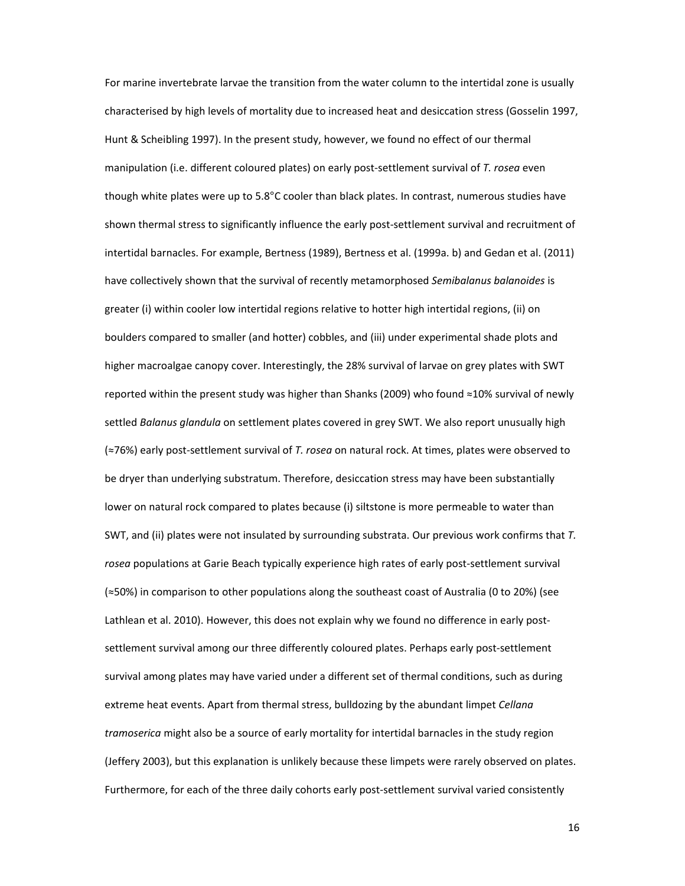For marine invertebrate larvae the transition from the water column to the intertidal zone is usually characterised by high levels of mortality due to increased heat and desiccation stress (Gosselin 1997, Hunt & Scheibling 1997). In the present study, however, we found no effect of our thermal manipulation (i.e. different coloured plates) on early post‐settlement survival of *T. rosea* even though white plates were up to  $5.8^{\circ}$ C cooler than black plates. In contrast, numerous studies have shown thermal stress to significantly influence the early post‐settlement survival and recruitment of intertidal barnacles. For example, Bertness (1989), Bertness et al. (1999a. b) and Gedan et al. (2011) have collectively shown that the survival of recently metamorphosed *Semibalanus balanoides* is greater (i) within cooler low intertidal regions relative to hotter high intertidal regions, (ii) on boulders compared to smaller (and hotter) cobbles, and (iii) under experimental shade plots and higher macroalgae canopy cover. Interestingly, the 28% survival of larvae on grey plates with SWT reported within the present study was higher than Shanks (2009) who found ≈10% survival of newly settled *Balanus glandula* on settlement plates covered in grey SWT. We also report unusually high (≈76%) early post‐settlement survival of *T. rosea* on natural rock. At times, plates were observed to be dryer than underlying substratum. Therefore, desiccation stress may have been substantially lower on natural rock compared to plates because (i) siltstone is more permeable to water than SWT, and (ii) plates were not insulated by surrounding substrata. Our previous work confirms that *T. rosea* populations at Garie Beach typically experience high rates of early post‐settlement survival (≈50%) in comparison to other populations along the southeast coast of Australia (0 to 20%) (see Lathlean et al. 2010). However, this does not explain why we found no difference in early postsettlement survival among our three differently coloured plates. Perhaps early post-settlement survival among plates may have varied under a different set of thermal conditions, such as during extreme heat events. Apart from thermal stress, bulldozing by the abundant limpet *Cellana tramoserica* might also be a source of early mortality for intertidal barnacles in the study region (Jeffery 2003), but this explanation is unlikely because these limpets were rarely observed on plates. Furthermore, for each of the three daily cohorts early post-settlement survival varied consistently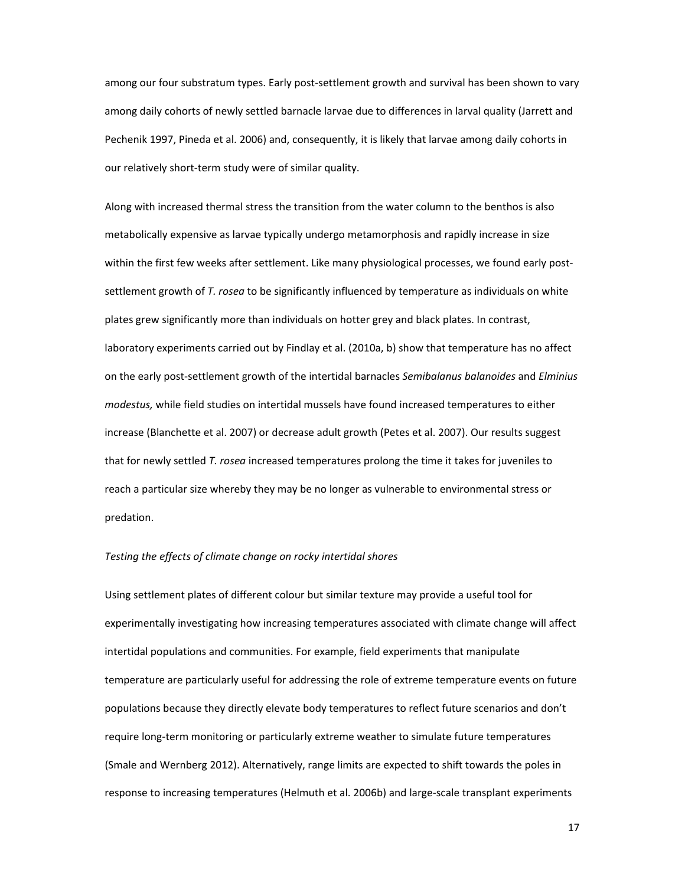among our four substratum types. Early post‐settlement growth and survival has been shown to vary among daily cohorts of newly settled barnacle larvae due to differences in larval quality (Jarrett and Pechenik 1997, Pineda et al. 2006) and, consequently, it is likely that larvae among daily cohorts in our relatively short‐term study were of similar quality.

Along with increased thermal stress the transition from the water column to the benthos is also metabolically expensive as larvae typically undergo metamorphosis and rapidly increase in size within the first few weeks after settlement. Like many physiological processes, we found early postsettlement growth of *T. rosea* to be significantly influenced by temperature as individuals on white plates grew significantly more than individuals on hotter grey and black plates. In contrast, laboratory experiments carried out by Findlay et al. (2010a, b) show that temperature has no affect on the early post‐settlement growth of the intertidal barnacles *Semibalanus balanoides* and *Elminius modestus,* while field studies on intertidal mussels have found increased temperatures to either increase (Blanchette et al. 2007) or decrease adult growth (Petes et al. 2007). Our results suggest that for newly settled *T. rosea* increased temperatures prolong the time it takes for juveniles to reach a particular size whereby they may be no longer as vulnerable to environmental stress or predation.

### *Testing the effects of climate change on rocky intertidal shores*

Using settlement plates of different colour but similar texture may provide a useful tool for experimentally investigating how increasing temperatures associated with climate change will affect intertidal populations and communities. For example, field experiments that manipulate temperature are particularly useful for addressing the role of extreme temperature events on future populations because they directly elevate body temperatures to reflect future scenarios and don't require long-term monitoring or particularly extreme weather to simulate future temperatures (Smale and Wernberg 2012). Alternatively, range limits are expected to shift towards the poles in response to increasing temperatures (Helmuth et al. 2006b) and large‐scale transplant experiments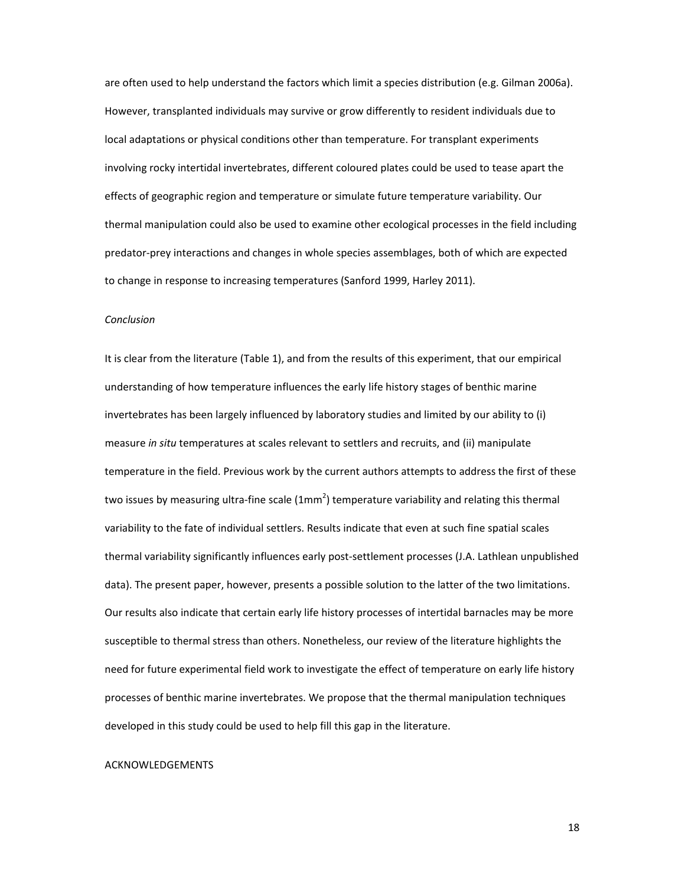are often used to help understand the factors which limit a species distribution (e.g. Gilman 2006a). However, transplanted individuals may survive or grow differently to resident individuals due to local adaptations or physical conditions other than temperature. For transplant experiments involving rocky intertidal invertebrates, different coloured plates could be used to tease apart the effects of geographic region and temperature or simulate future temperature variability. Our thermal manipulation could also be used to examine other ecological processes in the field including predator‐prey interactions and changes in whole species assemblages, both of which are expected to change in response to increasing temperatures (Sanford 1999, Harley 2011).

### *Conclusion*

It is clear from the literature (Table 1), and from the results of this experiment, that our empirical understanding of how temperature influences the early life history stages of benthic marine invertebrates has been largely influenced by laboratory studies and limited by our ability to (i) measure *in situ* temperatures at scales relevant to settlers and recruits, and (ii) manipulate temperature in the field. Previous work by the current authors attempts to address the first of these two issues by measuring ultra-fine scale (1mm<sup>2</sup>) temperature variability and relating this thermal variability to the fate of individual settlers. Results indicate that even at such fine spatial scales thermal variability significantly influences early post‐settlement processes (J.A. Lathlean unpublished data). The present paper, however, presents a possible solution to the latter of the two limitations. Our results also indicate that certain early life history processes of intertidal barnacles may be more susceptible to thermal stress than others. Nonetheless, our review of the literature highlights the need for future experimental field work to investigate the effect of temperature on early life history processes of benthic marine invertebrates. We propose that the thermal manipulation techniques developed in this study could be used to help fill this gap in the literature.

#### ACKNOWLEDGEMENTS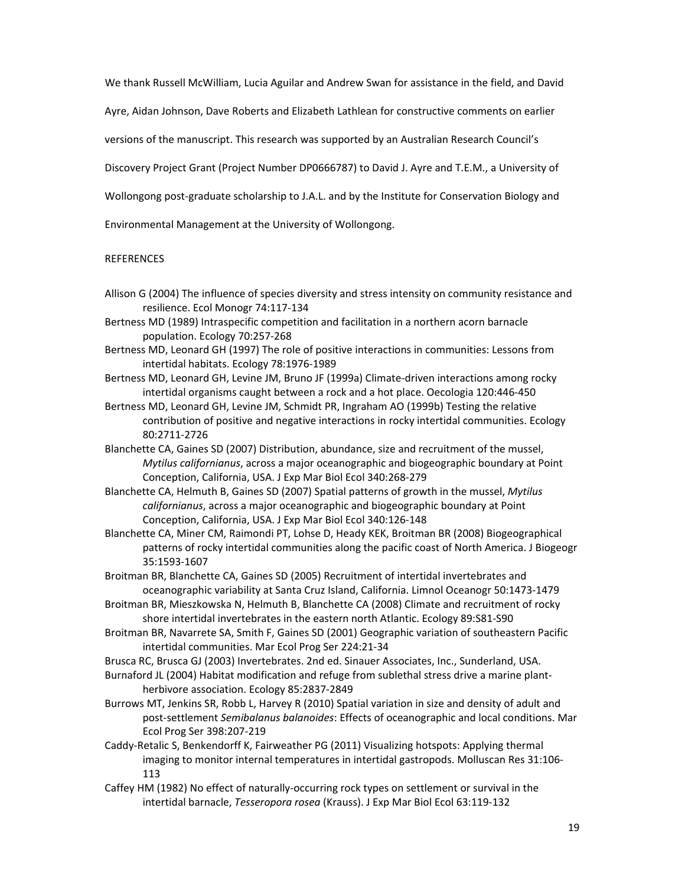We thank Russell McWilliam, Lucia Aguilar and Andrew Swan for assistance in the field, and David

Ayre, Aidan Johnson, Dave Roberts and Elizabeth Lathlean for constructive comments on earlier

versions of the manuscript. This research was supported by an Australian Research Council's

Discovery Project Grant (Project Number DP0666787) to David J. Ayre and T.E.M., a University of

Wollongong post-graduate scholarship to J.A.L. and by the Institute for Conservation Biology and

Environmental Management at the University of Wollongong.

## **REFERENCES**

Allison G (2004) The influence of species diversity and stress intensity on community resistance and resilience. Ecol Monogr 74:117‐134

Bertness MD (1989) Intraspecific competition and facilitation in a northern acorn barnacle population. Ecology 70:257‐268

Bertness MD, Leonard GH (1997) The role of positive interactions in communities: Lessons from intertidal habitats. Ecology 78:1976‐1989

Bertness MD, Leonard GH, Levine JM, Bruno JF (1999a) Climate‐driven interactions among rocky intertidal organisms caught between a rock and a hot place. Oecologia 120:446‐450

Bertness MD, Leonard GH, Levine JM, Schmidt PR, Ingraham AO (1999b) Testing the relative contribution of positive and negative interactions in rocky intertidal communities. Ecology 80:2711‐2726

Blanchette CA, Gaines SD (2007) Distribution, abundance, size and recruitment of the mussel, *Mytilus californianus*, across a major oceanographic and biogeographic boundary at Point Conception, California, USA. J Exp Mar Biol Ecol 340:268‐279

Blanchette CA, Helmuth B, Gaines SD (2007) Spatial patterns of growth in the mussel, *Mytilus californianus*, across a major oceanographic and biogeographic boundary at Point Conception, California, USA. J Exp Mar Biol Ecol 340:126‐148

Blanchette CA, Miner CM, Raimondi PT, Lohse D, Heady KEK, Broitman BR (2008) Biogeographical patterns of rocky intertidal communities along the pacific coast of North America. J Biogeogr 35:1593‐1607

Broitman BR, Blanchette CA, Gaines SD (2005) Recruitment of intertidal invertebrates and oceanographic variability at Santa Cruz Island, California. Limnol Oceanogr 50:1473‐1479

Broitman BR, Mieszkowska N, Helmuth B, Blanchette CA (2008) Climate and recruitment of rocky shore intertidal invertebrates in the eastern north Atlantic. Ecology 89:S81‐S90

Broitman BR, Navarrete SA, Smith F, Gaines SD (2001) Geographic variation of southeastern Pacific intertidal communities. Mar Ecol Prog Ser 224:21‐34

Brusca RC, Brusca GJ (2003) Invertebrates. 2nd ed. Sinauer Associates, Inc., Sunderland, USA.

Burnaford JL (2004) Habitat modification and refuge from sublethal stress drive a marine plant‐ herbivore association. Ecology 85:2837‐2849

Burrows MT, Jenkins SR, Robb L, Harvey R (2010) Spatial variation in size and density of adult and post‐settlement *Semibalanus balanoides*: Effects of oceanographic and local conditions. Mar Ecol Prog Ser 398:207‐219

Caddy‐Retalic S, Benkendorff K, Fairweather PG (2011) Visualizing hotspots: Applying thermal imaging to monitor internal temperatures in intertidal gastropods. Molluscan Res 31:106‐ 113

Caffey HM (1982) No effect of naturally‐occurring rock types on settlement or survival in the intertidal barnacle, *Tesseropora rosea* (Krauss). J Exp Mar Biol Ecol 63:119‐132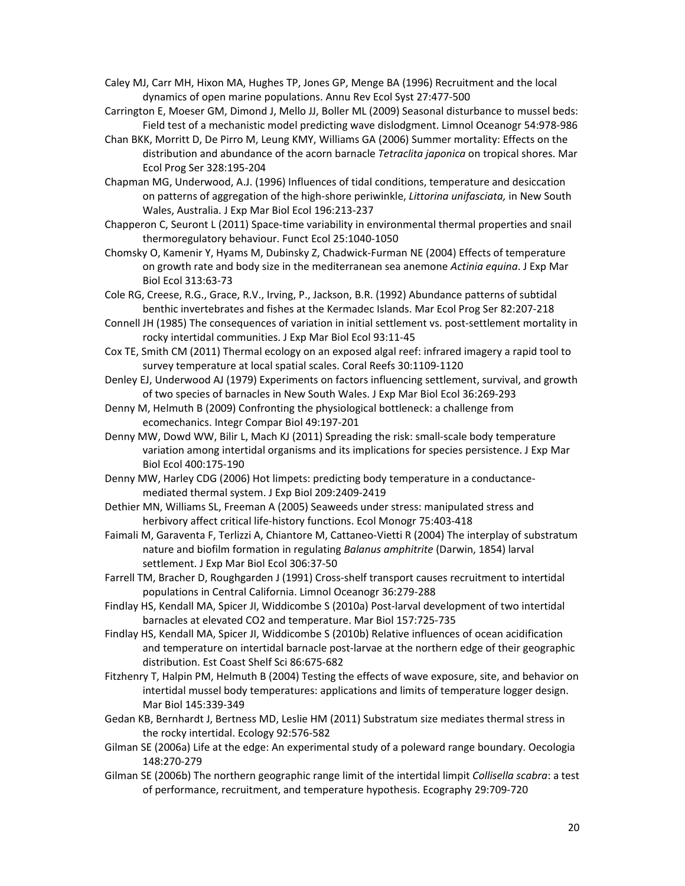Caley MJ, Carr MH, Hixon MA, Hughes TP, Jones GP, Menge BA (1996) Recruitment and the local dynamics of open marine populations. Annu Rev Ecol Syst 27:477‐500

- Carrington E, Moeser GM, Dimond J, Mello JJ, Boller ML (2009) Seasonal disturbance to mussel beds: Field test of a mechanistic model predicting wave dislodgment. Limnol Oceanogr 54:978‐986
- Chan BKK, Morritt D, De Pirro M, Leung KMY, Williams GA (2006) Summer mortality: Effects on the distribution and abundance of the acorn barnacle *Tetraclita japonica* on tropical shores. Mar Ecol Prog Ser 328:195‐204
- Chapman MG, Underwood, A.J. (1996) Influences of tidal conditions, temperature and desiccation on patterns of aggregation of the high‐shore periwinkle, *Littorina unifasciata,* in New South Wales, Australia. J Exp Mar Biol Ecol 196:213‐237
- Chapperon C, Seuront L (2011) Space‐time variability in environmental thermal properties and snail thermoregulatory behaviour. Funct Ecol 25:1040‐1050
- Chomsky O, Kamenir Y, Hyams M, Dubinsky Z, Chadwick‐Furman NE (2004) Effects of temperature on growth rate and body size in the mediterranean sea anemone *Actinia equina*. J Exp Mar Biol Ecol 313:63‐73
- Cole RG, Creese, R.G., Grace, R.V., Irving, P., Jackson, B.R. (1992) Abundance patterns of subtidal benthic invertebrates and fishes at the Kermadec Islands. Mar Ecol Prog Ser 82:207‐218
- Connell JH (1985) The consequences of variation in initial settlement vs. post‐settlement mortality in rocky intertidal communities. J Exp Mar Biol Ecol 93:11‐45
- Cox TE, Smith CM (2011) Thermal ecology on an exposed algal reef: infrared imagery a rapid tool to survey temperature at local spatial scales. Coral Reefs 30:1109‐1120
- Denley EJ, Underwood AJ (1979) Experiments on factors influencing settlement, survival, and growth of two species of barnacles in New South Wales. J Exp Mar Biol Ecol 36:269‐293
- Denny M, Helmuth B (2009) Confronting the physiological bottleneck: a challenge from ecomechanics. Integr Compar Biol 49:197‐201
- Denny MW, Dowd WW, Bilir L, Mach KJ (2011) Spreading the risk: small‐scale body temperature variation among intertidal organisms and its implications for species persistence. J Exp Mar Biol Ecol 400:175‐190
- Denny MW, Harley CDG (2006) Hot limpets: predicting body temperature in a conductance‐ mediated thermal system. J Exp Biol 209:2409‐2419
- Dethier MN, Williams SL, Freeman A (2005) Seaweeds under stress: manipulated stress and herbivory affect critical life‐history functions. Ecol Monogr 75:403‐418
- Faimali M, Garaventa F, Terlizzi A, Chiantore M, Cattaneo‐Vietti R (2004) The interplay of substratum nature and biofilm formation in regulating *Balanus amphitrite* (Darwin, 1854) larval settlement. J Exp Mar Biol Ecol 306:37‐50
- Farrell TM, Bracher D, Roughgarden J (1991) Cross‐shelf transport causes recruitment to intertidal populations in Central California. Limnol Oceanogr 36:279‐288
- Findlay HS, Kendall MA, Spicer JI, Widdicombe S (2010a) Post‐larval development of two intertidal barnacles at elevated CO2 and temperature. Mar Biol 157:725‐735
- Findlay HS, Kendall MA, Spicer JI, Widdicombe S (2010b) Relative influences of ocean acidification and temperature on intertidal barnacle post-larvae at the northern edge of their geographic distribution. Est Coast Shelf Sci 86:675‐682
- Fitzhenry T, Halpin PM, Helmuth B (2004) Testing the effects of wave exposure, site, and behavior on intertidal mussel body temperatures: applications and limits of temperature logger design. Mar Biol 145:339‐349
- Gedan KB, Bernhardt J, Bertness MD, Leslie HM (2011) Substratum size mediates thermal stress in the rocky intertidal. Ecology 92:576‐582
- Gilman SE (2006a) Life at the edge: An experimental study of a poleward range boundary. Oecologia 148:270‐279
- Gilman SE (2006b) The northern geographic range limit of the intertidal limpit *Collisella scabra*: a test of performance, recruitment, and temperature hypothesis. Ecography 29:709‐720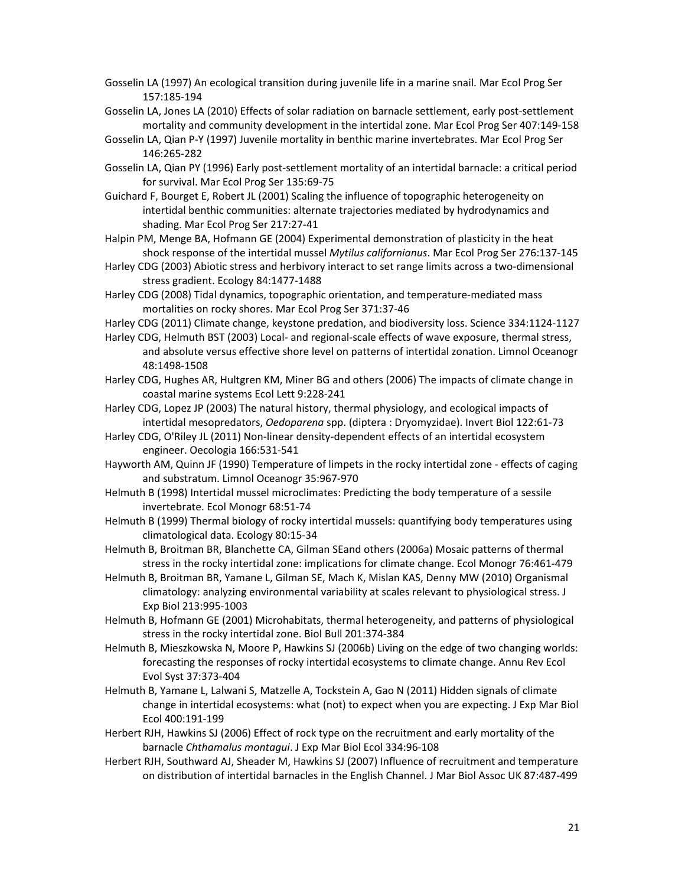- Gosselin LA (1997) An ecological transition during juvenile life in a marine snail. Mar Ecol Prog Ser 157:185‐194
- Gosselin LA, Jones LA (2010) Effects of solar radiation on barnacle settlement, early post‐settlement mortality and community development in the intertidal zone. Mar Ecol Prog Ser 407:149‐158
- Gosselin LA, Qian P‐Y (1997) Juvenile mortality in benthic marine invertebrates. Mar Ecol Prog Ser 146:265‐282
- Gosselin LA, Qian PY (1996) Early post‐settlement mortality of an intertidal barnacle: a critical period for survival. Mar Ecol Prog Ser 135:69‐75
- Guichard F, Bourget E, Robert JL (2001) Scaling the influence of topographic heterogeneity on intertidal benthic communities: alternate trajectories mediated by hydrodynamics and shading. Mar Ecol Prog Ser 217:27‐41
- Halpin PM, Menge BA, Hofmann GE (2004) Experimental demonstration of plasticity in the heat shock response of the intertidal mussel *Mytilus californianus*. Mar Ecol Prog Ser 276:137‐145
- Harley CDG (2003) Abiotic stress and herbivory interact to set range limits across a two‐dimensional stress gradient. Ecology 84:1477‐1488
- Harley CDG (2008) Tidal dynamics, topographic orientation, and temperature‐mediated mass mortalities on rocky shores. Mar Ecol Prog Ser 371:37‐46
- Harley CDG (2011) Climate change, keystone predation, and biodiversity loss. Science 334:1124‐1127
- Harley CDG, Helmuth BST (2003) Local‐ and regional‐scale effects of wave exposure, thermal stress, and absolute versus effective shore level on patterns of intertidal zonation. Limnol Oceanogr 48:1498‐1508
- Harley CDG, Hughes AR, Hultgren KM, Miner BG and others (2006) The impacts of climate change in coastal marine systems Ecol Lett 9:228‐241
- Harley CDG, Lopez JP (2003) The natural history, thermal physiology, and ecological impacts of intertidal mesopredators, *Oedoparena* spp. (diptera : Dryomyzidae). Invert Biol 122:61‐73
- Harley CDG, O'Riley JL (2011) Non-linear density-dependent effects of an intertidal ecosystem engineer. Oecologia 166:531‐541
- Hayworth AM, Quinn JF (1990) Temperature of limpets in the rocky intertidal zone ‐ effects of caging and substratum. Limnol Oceanogr 35:967‐970
- Helmuth B (1998) Intertidal mussel microclimates: Predicting the body temperature of a sessile invertebrate. Ecol Monogr 68:51‐74
- Helmuth B (1999) Thermal biology of rocky intertidal mussels: quantifying body temperatures using climatological data. Ecology 80:15‐34
- Helmuth B, Broitman BR, Blanchette CA, Gilman SEand others (2006a) Mosaic patterns of thermal stress in the rocky intertidal zone: implications for climate change. Ecol Monogr 76:461‐479
- Helmuth B, Broitman BR, Yamane L, Gilman SE, Mach K, Mislan KAS, Denny MW (2010) Organismal climatology: analyzing environmental variability at scales relevant to physiological stress. J Exp Biol 213:995‐1003
- Helmuth B, Hofmann GE (2001) Microhabitats, thermal heterogeneity, and patterns of physiological stress in the rocky intertidal zone. Biol Bull 201:374‐384
- Helmuth B, Mieszkowska N, Moore P, Hawkins SJ (2006b) Living on the edge of two changing worlds: forecasting the responses of rocky intertidal ecosystems to climate change. Annu Rev Ecol Evol Syst 37:373‐404
- Helmuth B, Yamane L, Lalwani S, Matzelle A, Tockstein A, Gao N (2011) Hidden signals of climate change in intertidal ecosystems: what (not) to expect when you are expecting. J Exp Mar Biol Ecol 400:191‐199
- Herbert RJH, Hawkins SJ (2006) Effect of rock type on the recruitment and early mortality of the barnacle *Chthamalus montagui*. J Exp Mar Biol Ecol 334:96‐108
- Herbert RJH, Southward AJ, Sheader M, Hawkins SJ (2007) Influence of recruitment and temperature on distribution of intertidal barnacles in the English Channel. J Mar Biol Assoc UK 87:487‐499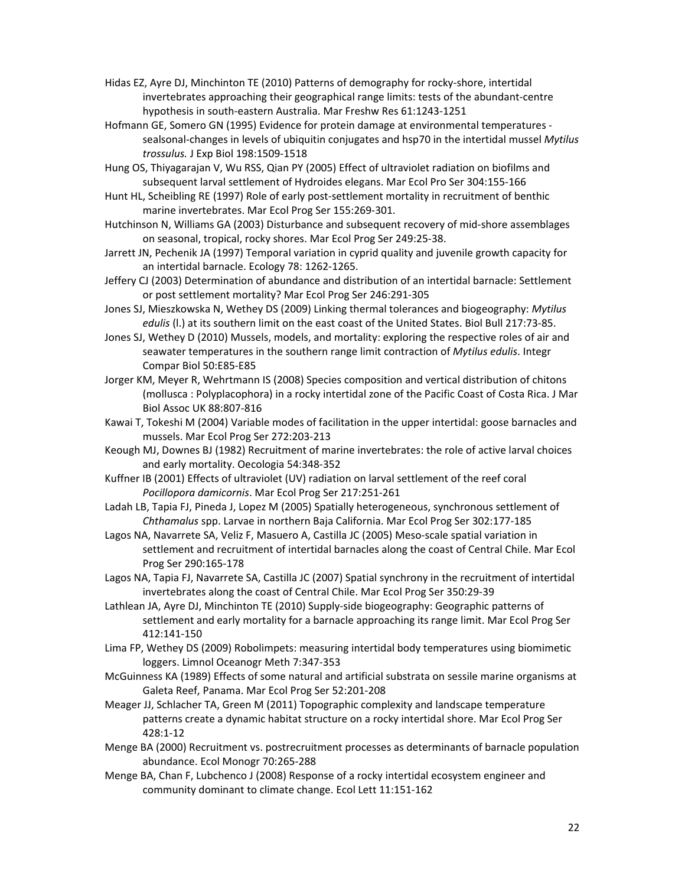- Hidas EZ, Ayre DJ, Minchinton TE (2010) Patterns of demography for rocky‐shore, intertidal invertebrates approaching their geographical range limits: tests of the abundant‐centre hypothesis in south‐eastern Australia. Mar Freshw Res 61:1243‐1251
- Hofmann GE, Somero GN (1995) Evidence for protein damage at environmental temperatures ‐ sealsonal‐changes in levels of ubiquitin conjugates and hsp70 in the intertidal mussel *Mytilus trossulus.* J Exp Biol 198:1509‐1518
- Hung OS, Thiyagarajan V, Wu RSS, Qian PY (2005) Effect of ultraviolet radiation on biofilms and subsequent larval settlement of Hydroides elegans. Mar Ecol Pro Ser 304:155‐166
- Hunt HL, Scheibling RE (1997) Role of early post‐settlement mortality in recruitment of benthic marine invertebrates. Mar Ecol Prog Ser 155:269‐301.
- Hutchinson N, Williams GA (2003) Disturbance and subsequent recovery of mid‐shore assemblages on seasonal, tropical, rocky shores. Mar Ecol Prog Ser 249:25‐38.
- Jarrett JN, Pechenik JA (1997) Temporal variation in cyprid quality and juvenile growth capacity for an intertidal barnacle. Ecology 78: 1262‐1265.
- Jeffery CJ (2003) Determination of abundance and distribution of an intertidal barnacle: Settlement or post settlement mortality? Mar Ecol Prog Ser 246:291‐305
- Jones SJ, Mieszkowska N, Wethey DS (2009) Linking thermal tolerances and biogeography: *Mytilus edulis* (l.) at its southern limit on the east coast of the United States. Biol Bull 217:73‐85.
- Jones SJ, Wethey D (2010) Mussels, models, and mortality: exploring the respective roles of air and seawater temperatures in the southern range limit contraction of *Mytilus edulis*. Integr Compar Biol 50:E85‐E85
- Jorger KM, Meyer R, Wehrtmann IS (2008) Species composition and vertical distribution of chitons (mollusca : Polyplacophora) in a rocky intertidal zone of the Pacific Coast of Costa Rica. J Mar Biol Assoc UK 88:807‐816
- Kawai T, Tokeshi M (2004) Variable modes of facilitation in the upper intertidal: goose barnacles and mussels. Mar Ecol Prog Ser 272:203‐213
- Keough MJ, Downes BJ (1982) Recruitment of marine invertebrates: the role of active larval choices and early mortality. Oecologia 54:348‐352
- Kuffner IB (2001) Effects of ultraviolet (UV) radiation on larval settlement of the reef coral *Pocillopora damicornis*. Mar Ecol Prog Ser 217:251‐261
- Ladah LB, Tapia FJ, Pineda J, Lopez M (2005) Spatially heterogeneous, synchronous settlement of *Chthamalus* spp. Larvae in northern Baja California. Mar Ecol Prog Ser 302:177‐185
- Lagos NA, Navarrete SA, Veliz F, Masuero A, Castilla JC (2005) Meso‐scale spatial variation in settlement and recruitment of intertidal barnacles along the coast of Central Chile. Mar Ecol Prog Ser 290:165‐178
- Lagos NA, Tapia FJ, Navarrete SA, Castilla JC (2007) Spatial synchrony in the recruitment of intertidal invertebrates along the coast of Central Chile. Mar Ecol Prog Ser 350:29‐39
- Lathlean JA, Ayre DJ, Minchinton TE (2010) Supply‐side biogeography: Geographic patterns of settlement and early mortality for a barnacle approaching its range limit. Mar Ecol Prog Ser 412:141‐150
- Lima FP, Wethey DS (2009) Robolimpets: measuring intertidal body temperatures using biomimetic loggers. Limnol Oceanogr Meth 7:347‐353
- McGuinness KA (1989) Effects of some natural and artificial substrata on sessile marine organisms at Galeta Reef, Panama. Mar Ecol Prog Ser 52:201‐208
- Meager JJ, Schlacher TA, Green M (2011) Topographic complexity and landscape temperature patterns create a dynamic habitat structure on a rocky intertidal shore. Mar Ecol Prog Ser 428:1‐12
- Menge BA (2000) Recruitment vs. postrecruitment processes as determinants of barnacle population abundance. Ecol Monogr 70:265‐288
- Menge BA, Chan F, Lubchenco J (2008) Response of a rocky intertidal ecosystem engineer and community dominant to climate change. Ecol Lett 11:151‐162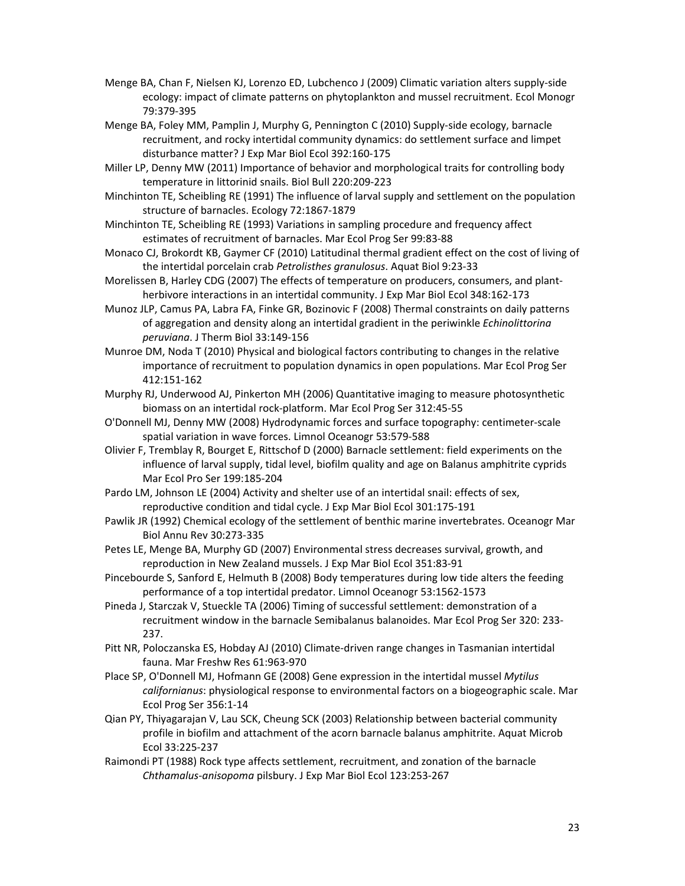- Menge BA, Chan F, Nielsen KJ, Lorenzo ED, Lubchenco J (2009) Climatic variation alters supply‐side ecology: impact of climate patterns on phytoplankton and mussel recruitment. Ecol Monogr 79:379‐395
- Menge BA, Foley MM, Pamplin J, Murphy G, Pennington C (2010) Supply‐side ecology, barnacle recruitment, and rocky intertidal community dynamics: do settlement surface and limpet disturbance matter? J Exp Mar Biol Ecol 392:160‐175
- Miller LP, Denny MW (2011) Importance of behavior and morphological traits for controlling body temperature in littorinid snails. Biol Bull 220:209‐223
- Minchinton TE, Scheibling RE (1991) The influence of larval supply and settlement on the population structure of barnacles. Ecology 72:1867‐1879
- Minchinton TE, Scheibling RE (1993) Variations in sampling procedure and frequency affect estimates of recruitment of barnacles. Mar Ecol Prog Ser 99:83‐88
- Monaco CJ, Brokordt KB, Gaymer CF (2010) Latitudinal thermal gradient effect on the cost of living of the intertidal porcelain crab *Petrolisthes granulosus*. Aquat Biol 9:23‐33
- Morelissen B, Harley CDG (2007) The effects of temperature on producers, consumers, and plant‐ herbivore interactions in an intertidal community. J Exp Mar Biol Ecol 348:162‐173
- Munoz JLP, Camus PA, Labra FA, Finke GR, Bozinovic F (2008) Thermal constraints on daily patterns of aggregation and density along an intertidal gradient in the periwinkle *Echinolittorina peruviana*. J Therm Biol 33:149‐156
- Munroe DM, Noda T (2010) Physical and biological factors contributing to changes in the relative importance of recruitment to population dynamics in open populations. Mar Ecol Prog Ser 412:151‐162
- Murphy RJ, Underwood AJ, Pinkerton MH (2006) Quantitative imaging to measure photosynthetic biomass on an intertidal rock‐platform. Mar Ecol Prog Ser 312:45‐55
- O'Donnell MJ, Denny MW (2008) Hydrodynamic forces and surface topography: centimeter‐scale spatial variation in wave forces. Limnol Oceanogr 53:579‐588
- Olivier F, Tremblay R, Bourget E, Rittschof D (2000) Barnacle settlement: field experiments on the influence of larval supply, tidal level, biofilm quality and age on Balanus amphitrite cyprids Mar Ecol Pro Ser 199:185‐204
- Pardo LM, Johnson LE (2004) Activity and shelter use of an intertidal snail: effects of sex, reproductive condition and tidal cycle. J Exp Mar Biol Ecol 301:175‐191
- Pawlik JR (1992) Chemical ecology of the settlement of benthic marine invertebrates. Oceanogr Mar Biol Annu Rev 30:273‐335
- Petes LE, Menge BA, Murphy GD (2007) Environmental stress decreases survival, growth, and reproduction in New Zealand mussels. J Exp Mar Biol Ecol 351:83‐91
- Pincebourde S, Sanford E, Helmuth B (2008) Body temperatures during low tide alters the feeding performance of a top intertidal predator. Limnol Oceanogr 53:1562‐1573
- Pineda J, Starczak V, Stueckle TA (2006) Timing of successful settlement: demonstration of a recruitment window in the barnacle Semibalanus balanoides. Mar Ecol Prog Ser 320: 233‐ 237.
- Pitt NR, Poloczanska ES, Hobday AJ (2010) Climate‐driven range changes in Tasmanian intertidal fauna. Mar Freshw Res 61:963‐970
- Place SP, O'Donnell MJ, Hofmann GE (2008) Gene expression in the intertidal mussel *Mytilus californianus*: physiological response to environmental factors on a biogeographic scale. Mar Ecol Prog Ser 356:1‐14
- Qian PY, Thiyagarajan V, Lau SCK, Cheung SCK (2003) Relationship between bacterial community profile in biofilm and attachment of the acorn barnacle balanus amphitrite. Aquat Microb Ecol 33:225‐237
- Raimondi PT (1988) Rock type affects settlement, recruitment, and zonation of the barnacle *Chthamalus‐anisopoma* pilsbury. J Exp Mar Biol Ecol 123:253‐267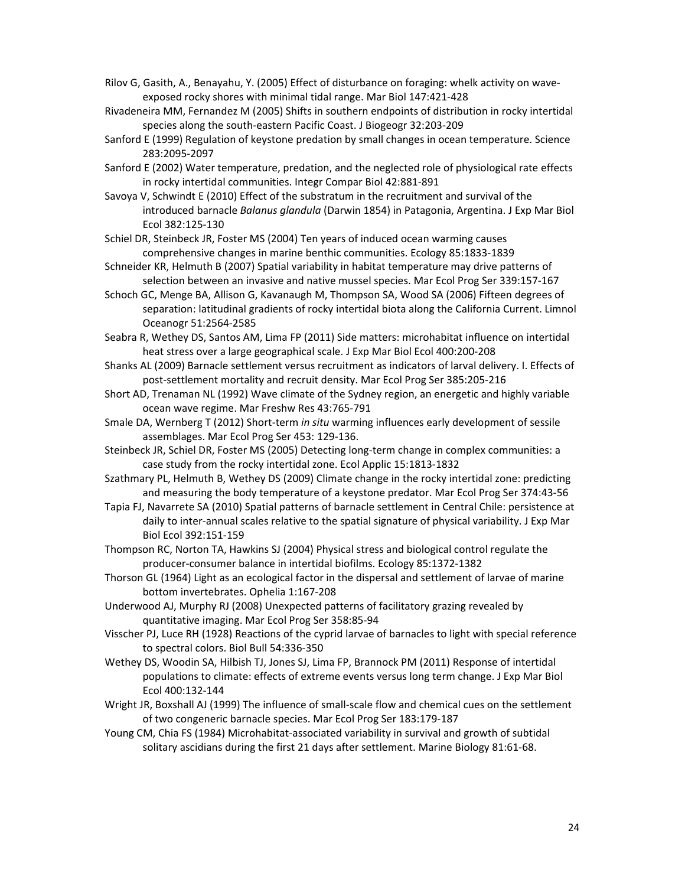Rilov G, Gasith, A., Benayahu, Y. (2005) Effect of disturbance on foraging: whelk activity on wave‐ exposed rocky shores with minimal tidal range. Mar Biol 147:421‐428

- Rivadeneira MM, Fernandez M (2005) Shifts in southern endpoints of distribution in rocky intertidal species along the south‐eastern Pacific Coast. J Biogeogr 32:203‐209
- Sanford E (1999) Regulation of keystone predation by small changes in ocean temperature. Science 283:2095‐2097
- Sanford E (2002) Water temperature, predation, and the neglected role of physiological rate effects in rocky intertidal communities. Integr Compar Biol 42:881‐891
- Savoya V, Schwindt E (2010) Effect of the substratum in the recruitment and survival of the introduced barnacle *Balanus glandula* (Darwin 1854) in Patagonia, Argentina. J Exp Mar Biol Ecol 382:125‐130

Schiel DR, Steinbeck JR, Foster MS (2004) Ten years of induced ocean warming causes comprehensive changes in marine benthic communities. Ecology 85:1833‐1839

- Schneider KR, Helmuth B (2007) Spatial variability in habitat temperature may drive patterns of selection between an invasive and native mussel species. Mar Ecol Prog Ser 339:157‐167
- Schoch GC, Menge BA, Allison G, Kavanaugh M, Thompson SA, Wood SA (2006) Fifteen degrees of separation: latitudinal gradients of rocky intertidal biota along the California Current. Limnol Oceanogr 51:2564‐2585
- Seabra R, Wethey DS, Santos AM, Lima FP (2011) Side matters: microhabitat influence on intertidal heat stress over a large geographical scale. J Exp Mar Biol Ecol 400:200‐208
- Shanks AL (2009) Barnacle settlement versus recruitment as indicators of larval delivery. I. Effects of post‐settlement mortality and recruit density. Mar Ecol Prog Ser 385:205‐216
- Short AD, Trenaman NL (1992) Wave climate of the Sydney region, an energetic and highly variable ocean wave regime. Mar Freshw Res 43:765‐791
- Smale DA, Wernberg T (2012) Short‐term *in situ* warming influences early development of sessile assemblages. Mar Ecol Prog Ser 453: 129‐136.
- Steinbeck JR, Schiel DR, Foster MS (2005) Detecting long‐term change in complex communities: a case study from the rocky intertidal zone. Ecol Applic 15:1813‐1832
- Szathmary PL, Helmuth B, Wethey DS (2009) Climate change in the rocky intertidal zone: predicting and measuring the body temperature of a keystone predator. Mar Ecol Prog Ser 374:43‐56
- Tapia FJ, Navarrete SA (2010) Spatial patterns of barnacle settlement in Central Chile: persistence at daily to inter‐annual scales relative to the spatial signature of physical variability. J Exp Mar Biol Ecol 392:151‐159
- Thompson RC, Norton TA, Hawkins SJ (2004) Physical stress and biological control regulate the producer‐consumer balance in intertidal biofilms. Ecology 85:1372‐1382
- Thorson GL (1964) Light as an ecological factor in the dispersal and settlement of larvae of marine bottom invertebrates. Ophelia 1:167‐208
- Underwood AJ, Murphy RJ (2008) Unexpected patterns of facilitatory grazing revealed by quantitative imaging. Mar Ecol Prog Ser 358:85‐94
- Visscher PJ, Luce RH (1928) Reactions of the cyprid larvae of barnacles to light with special reference to spectral colors. Biol Bull 54:336‐350
- Wethey DS, Woodin SA, Hilbish TJ, Jones SJ, Lima FP, Brannock PM (2011) Response of intertidal populations to climate: effects of extreme events versus long term change. J Exp Mar Biol Ecol 400:132‐144
- Wright JR, Boxshall AJ (1999) The influence of small‐scale flow and chemical cues on the settlement of two congeneric barnacle species. Mar Ecol Prog Ser 183:179‐187
- Young CM, Chia FS (1984) Microhabitat‐associated variability in survival and growth of subtidal solitary ascidians during the first 21 days after settlement. Marine Biology 81:61‐68.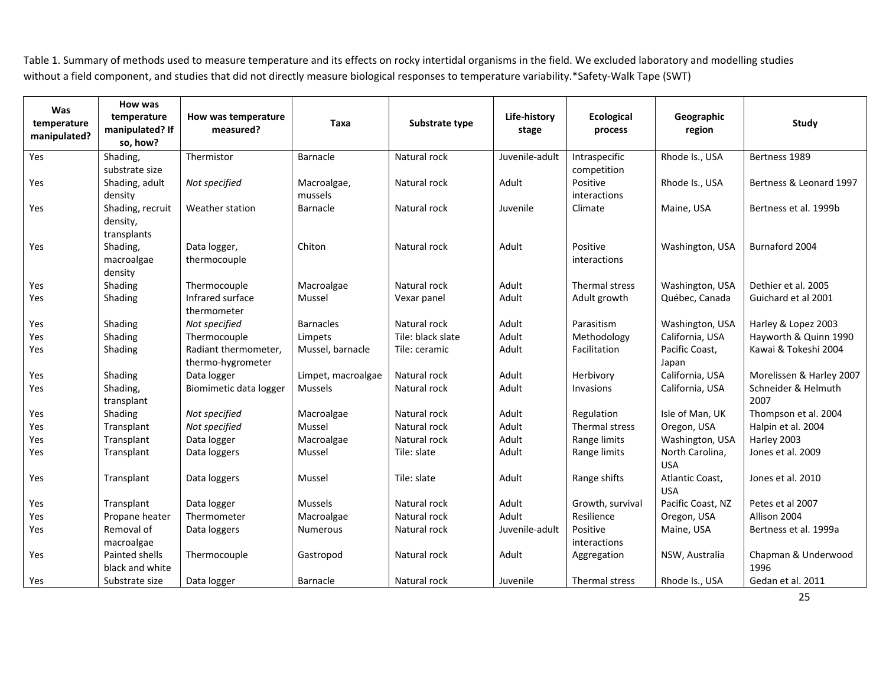Table 1. Summary of methods used to measure temperature and its effects on rocky intertidal organisms in the field. We excluded laboratory and modelling studies without a field component, and studies that did not directly measure biological responses to temperature variability.\*Safety‐Walk Tape (SWT)

| <b>Was</b><br>temperature<br>manipulated? | How was<br>temperature<br>manipulated? If<br>so, how? | How was temperature<br>measured?          | Taxa                 | Substrate type    | Life-history<br>stage | <b>Ecological</b><br>process | Geographic<br>region              | Study                       |
|-------------------------------------------|-------------------------------------------------------|-------------------------------------------|----------------------|-------------------|-----------------------|------------------------------|-----------------------------------|-----------------------------|
| Yes                                       | Shading,                                              | Thermistor                                | Barnacle             | Natural rock      | Juvenile-adult        | Intraspecific                | Rhode Is., USA                    | Bertness 1989               |
|                                           | substrate size                                        |                                           |                      |                   |                       | competition                  |                                   |                             |
| Yes                                       | Shading, adult                                        | Not specified                             | Macroalgae,          | Natural rock      | Adult                 | Positive                     | Rhode Is., USA                    | Bertness & Leonard 1997     |
| Yes                                       | density<br>Shading, recruit                           | Weather station                           | mussels<br>Barnacle  | Natural rock      | Juvenile              | interactions<br>Climate      | Maine, USA                        | Bertness et al. 1999b       |
|                                           | density,<br>transplants                               |                                           |                      |                   |                       |                              |                                   |                             |
| Yes                                       | Shading,                                              | Data logger,                              | Chiton               | Natural rock      | Adult                 | Positive                     | Washington, USA                   | Burnaford 2004              |
|                                           | macroalgae                                            | thermocouple                              |                      |                   |                       | interactions                 |                                   |                             |
|                                           | density                                               |                                           |                      | Natural rock      | Adult                 | Thermal stress               |                                   | Dethier et al. 2005         |
| Yes<br>Yes                                | Shading<br>Shading                                    | Thermocouple<br>Infrared surface          | Macroalgae<br>Mussel | Vexar panel       | Adult                 | Adult growth                 | Washington, USA<br>Québec, Canada | Guichard et al 2001         |
|                                           |                                                       | thermometer                               |                      |                   |                       |                              |                                   |                             |
| Yes                                       | Shading                                               | Not specified                             | <b>Barnacles</b>     | Natural rock      | Adult                 | Parasitism                   | Washington, USA                   | Harley & Lopez 2003         |
| Yes                                       | Shading                                               | Thermocouple                              | Limpets              | Tile: black slate | Adult                 | Methodology                  | California, USA                   | Hayworth & Quinn 1990       |
| Yes                                       | Shading                                               | Radiant thermometer,<br>thermo-hygrometer | Mussel, barnacle     | Tile: ceramic     | Adult                 | Facilitation                 | Pacific Coast,<br>Japan           | Kawai & Tokeshi 2004        |
| Yes                                       | Shading                                               | Data logger                               | Limpet, macroalgae   | Natural rock      | Adult                 | Herbivory                    | California, USA                   | Morelissen & Harley 2007    |
| Yes                                       | Shading,<br>transplant                                | Biomimetic data logger                    | <b>Mussels</b>       | Natural rock      | Adult                 | Invasions                    | California, USA                   | Schneider & Helmuth<br>2007 |
| Yes                                       | Shading                                               | Not specified                             | Macroalgae           | Natural rock      | Adult                 | Regulation                   | Isle of Man, UK                   | Thompson et al. 2004        |
| Yes                                       | Transplant                                            | Not specified                             | Mussel               | Natural rock      | Adult                 | Thermal stress               | Oregon, USA                       | Halpin et al. 2004          |
| Yes                                       | Transplant                                            | Data logger                               | Macroalgae           | Natural rock      | Adult                 | Range limits                 | Washington, USA                   | Harley 2003                 |
| Yes                                       | Transplant                                            | Data loggers                              | Mussel               | Tile: slate       | Adult                 | Range limits                 | North Carolina,<br><b>USA</b>     | Jones et al. 2009           |
| Yes                                       | Transplant                                            | Data loggers                              | Mussel               | Tile: slate       | Adult                 | Range shifts                 | Atlantic Coast,<br><b>USA</b>     | Jones et al. 2010           |
| Yes                                       | Transplant                                            | Data logger                               | <b>Mussels</b>       | Natural rock      | Adult                 | Growth, survival             | Pacific Coast, NZ                 | Petes et al 2007            |
| Yes                                       | Propane heater                                        | Thermometer                               | Macroalgae           | Natural rock      | Adult                 | Resilience                   | Oregon, USA                       | Allison 2004                |
| Yes                                       | Removal of                                            | Data loggers                              | Numerous             | Natural rock      | Juvenile-adult        | Positive                     | Maine, USA                        | Bertness et al. 1999a       |
|                                           | macroalgae                                            |                                           |                      |                   |                       | interactions                 |                                   |                             |
| Yes                                       | Painted shells<br>black and white                     | Thermocouple                              | Gastropod            | Natural rock      | Adult                 | Aggregation                  | NSW, Australia                    | Chapman & Underwood<br>1996 |
| Yes                                       | Substrate size                                        | Data logger                               | Barnacle             | Natural rock      | Juvenile              | Thermal stress               | Rhode Is., USA                    | Gedan et al. 2011           |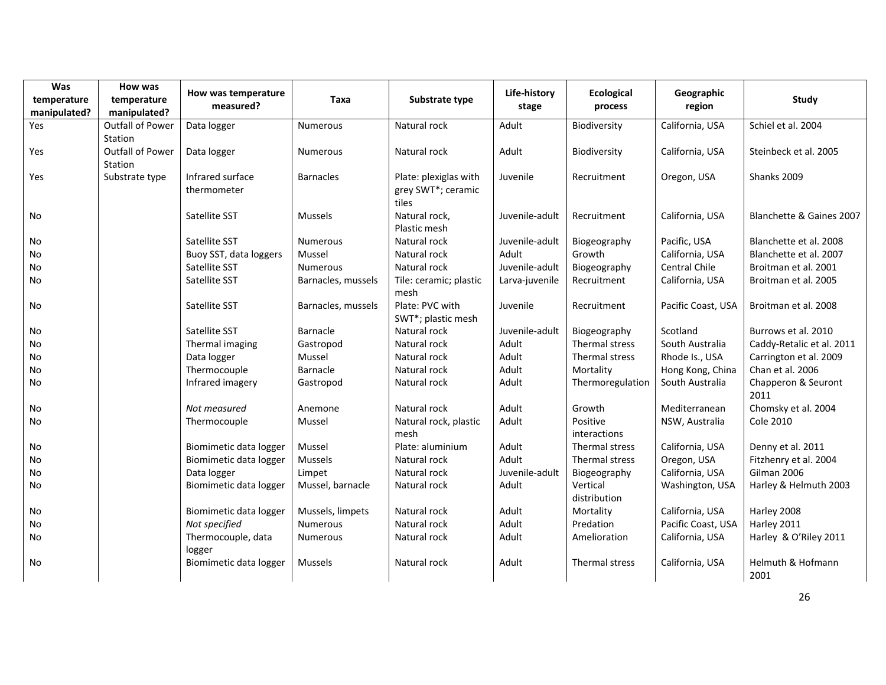| Was                         | How was                            |                                  |                    |                                                      |                       |                              |                      |                             |
|-----------------------------|------------------------------------|----------------------------------|--------------------|------------------------------------------------------|-----------------------|------------------------------|----------------------|-----------------------------|
| temperature<br>manipulated? | temperature<br>manipulated?        | How was temperature<br>measured? | Taxa               | Substrate type                                       | Life-history<br>stage | <b>Ecological</b><br>process | Geographic<br>region | Study                       |
| Yes                         | <b>Outfall of Power</b><br>Station | Data logger                      | <b>Numerous</b>    | Natural rock                                         | Adult                 | Biodiversity                 | California, USA      | Schiel et al. 2004          |
| Yes                         | <b>Outfall of Power</b><br>Station | Data logger                      | <b>Numerous</b>    | Natural rock                                         | Adult                 | Biodiversity                 | California, USA      | Steinbeck et al. 2005       |
| Yes                         | Substrate type                     | Infrared surface<br>thermometer  | <b>Barnacles</b>   | Plate: plexiglas with<br>grey SWT*; ceramic<br>tiles | Juvenile              | Recruitment                  | Oregon, USA          | Shanks 2009                 |
| No                          |                                    | Satellite SST                    | <b>Mussels</b>     | Natural rock,<br>Plastic mesh                        | Juvenile-adult        | Recruitment                  | California, USA      | Blanchette & Gaines 2007    |
| No                          |                                    | Satellite SST                    | Numerous           | Natural rock                                         | Juvenile-adult        | Biogeography                 | Pacific, USA         | Blanchette et al. 2008      |
| No                          |                                    | Buoy SST, data loggers           | Mussel             | Natural rock                                         | Adult                 | Growth                       | California, USA      | Blanchette et al. 2007      |
| No                          |                                    | Satellite SST                    | <b>Numerous</b>    | Natural rock                                         | Juvenile-adult        | Biogeography                 | Central Chile        | Broitman et al. 2001        |
| No                          |                                    | Satellite SST                    | Barnacles, mussels | Tile: ceramic; plastic<br>mesh                       | Larva-juvenile        | Recruitment                  | California, USA      | Broitman et al. 2005        |
| No                          |                                    | Satellite SST                    | Barnacles, mussels | Plate: PVC with<br>SWT*; plastic mesh                | Juvenile              | Recruitment                  | Pacific Coast, USA   | Broitman et al. 2008        |
| No                          |                                    | Satellite SST                    | Barnacle           | Natural rock                                         | Juvenile-adult        | Biogeography                 | Scotland             | Burrows et al. 2010         |
| No                          |                                    | Thermal imaging                  | Gastropod          | Natural rock                                         | Adult                 | Thermal stress               | South Australia      | Caddy-Retalic et al. 2011   |
| No                          |                                    | Data logger                      | Mussel             | Natural rock                                         | Adult                 | Thermal stress               | Rhode Is., USA       | Carrington et al. 2009      |
| No                          |                                    | Thermocouple                     | Barnacle           | Natural rock                                         | Adult                 | Mortality                    | Hong Kong, China     | Chan et al. 2006            |
| No                          |                                    | Infrared imagery                 | Gastropod          | Natural rock                                         | Adult                 | Thermoregulation             | South Australia      | Chapperon & Seuront<br>2011 |
| No                          |                                    | Not measured                     | Anemone            | Natural rock                                         | Adult                 | Growth                       | Mediterranean        | Chomsky et al. 2004         |
| No                          |                                    | Thermocouple                     | Mussel             | Natural rock, plastic<br>mesh                        | Adult                 | Positive<br>interactions     | NSW, Australia       | <b>Cole 2010</b>            |
| No                          |                                    | Biomimetic data logger           | Mussel             | Plate: aluminium                                     | Adult                 | Thermal stress               | California, USA      | Denny et al. 2011           |
| No                          |                                    | Biomimetic data logger           | <b>Mussels</b>     | Natural rock                                         | Adult                 | Thermal stress               | Oregon, USA          | Fitzhenry et al. 2004       |
| No                          |                                    | Data logger                      | Limpet             | Natural rock                                         | Juvenile-adult        | Biogeography                 | California, USA      | Gilman 2006                 |
| No                          |                                    | Biomimetic data logger           | Mussel, barnacle   | Natural rock                                         | Adult                 | Vertical<br>distribution     | Washington, USA      | Harley & Helmuth 2003       |
| No                          |                                    | Biomimetic data logger           | Mussels, limpets   | Natural rock                                         | Adult                 | Mortality                    | California, USA      | Harley 2008                 |
| No                          |                                    | Not specified                    | <b>Numerous</b>    | Natural rock                                         | Adult                 | Predation                    | Pacific Coast, USA   | Harley 2011                 |
| No                          |                                    | Thermocouple, data<br>logger     | <b>Numerous</b>    | Natural rock                                         | Adult                 | Amelioration                 | California, USA      | Harley & O'Riley 2011       |
| No                          |                                    | Biomimetic data logger           | Mussels            | Natural rock                                         | Adult                 | Thermal stress               | California, USA      | Helmuth & Hofmann<br>2001   |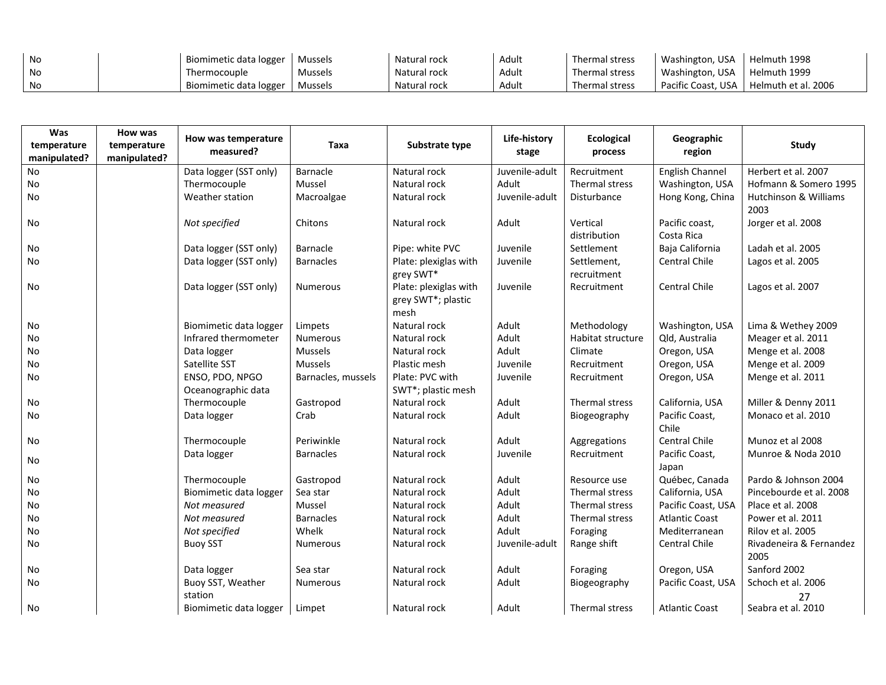| No | Biomimetic data logger | Mussels | Natural rock | Adult | Thermal stress | Washington, USA    | Helmuth 1998        |
|----|------------------------|---------|--------------|-------|----------------|--------------------|---------------------|
| No | Thermocouple           | Mussels | Natural rock | Adult | Thermal stress | Washington, USA    | Helmuth 1999        |
| No | Biomimetic data logger | Mussels | Natural rock | nuuru | Thermal stress | Pacific Coast. USA | Helmuth et al. 2006 |

| Was<br>temperature<br>manipulated? | How was<br>temperature<br>manipulated? | How was temperature<br>measured?      | Taxa               | Substrate type                                      | Life-history<br>stage | <b>Ecological</b><br>process | Geographic<br>region         | <b>Study</b>                    |
|------------------------------------|----------------------------------------|---------------------------------------|--------------------|-----------------------------------------------------|-----------------------|------------------------------|------------------------------|---------------------------------|
| <b>No</b>                          |                                        | Data logger (SST only)                | Barnacle           | Natural rock                                        | Juvenile-adult        | Recruitment                  | English Channel              | Herbert et al. 2007             |
| No                                 |                                        | Thermocouple                          | Mussel             | Natural rock                                        | Adult                 | Thermal stress               | Washington, USA              | Hofmann & Somero 1995           |
| <b>No</b>                          |                                        | Weather station                       | Macroalgae         | Natural rock                                        | Juvenile-adult        | Disturbance                  | Hong Kong, China             | Hutchinson & Williams<br>2003   |
| No                                 |                                        | Not specified                         | Chitons            | Natural rock                                        | Adult                 | Vertical<br>distribution     | Pacific coast,<br>Costa Rica | Jorger et al. 2008              |
| No                                 |                                        | Data logger (SST only)                | Barnacle           | Pipe: white PVC                                     | Juvenile              | Settlement                   | Baja California              | Ladah et al. 2005               |
| <b>No</b>                          |                                        | Data logger (SST only)                | <b>Barnacles</b>   | Plate: plexiglas with<br>grey SWT*                  | Juvenile              | Settlement,<br>recruitment   | Central Chile                | Lagos et al. 2005               |
| No                                 |                                        | Data logger (SST only)                | <b>Numerous</b>    | Plate: plexiglas with<br>grey SWT*; plastic<br>mesh | Juvenile              | Recruitment                  | <b>Central Chile</b>         | Lagos et al. 2007               |
| No                                 |                                        | Biomimetic data logger                | Limpets            | Natural rock                                        | Adult                 | Methodology                  | Washington, USA              | Lima & Wethey 2009              |
| No                                 |                                        | Infrared thermometer                  | <b>Numerous</b>    | Natural rock                                        | Adult                 | Habitat structure            | Qld, Australia               | Meager et al. 2011              |
| No                                 |                                        | Data logger                           | <b>Mussels</b>     | Natural rock                                        | Adult                 | Climate                      | Oregon, USA                  | Menge et al. 2008               |
| No                                 |                                        | Satellite SST                         | <b>Mussels</b>     | Plastic mesh                                        | Juvenile              | Recruitment                  | Oregon, USA                  | Menge et al. 2009               |
| No                                 |                                        | ENSO, PDO, NPGO<br>Oceanographic data | Barnacles, mussels | Plate: PVC with<br>SWT*; plastic mesh               | Juvenile              | Recruitment                  | Oregon, USA                  | Menge et al. 2011               |
| No                                 |                                        | Thermocouple                          | Gastropod          | Natural rock                                        | Adult                 | Thermal stress               | California, USA              | Miller & Denny 2011             |
| No                                 |                                        | Data logger                           | Crab               | Natural rock                                        | Adult                 | Biogeography                 | Pacific Coast,<br>Chile      | Monaco et al. 2010              |
| No                                 |                                        | Thermocouple                          | Periwinkle         | Natural rock                                        | Adult                 | Aggregations                 | <b>Central Chile</b>         | Munoz et al 2008                |
| No                                 |                                        | Data logger                           | <b>Barnacles</b>   | Natural rock                                        | Juvenile              | Recruitment                  | Pacific Coast,<br>Japan      | Munroe & Noda 2010              |
| No                                 |                                        | Thermocouple                          | Gastropod          | Natural rock                                        | Adult                 | Resource use                 | Québec, Canada               | Pardo & Johnson 2004            |
| No                                 |                                        | Biomimetic data logger                | Sea star           | Natural rock                                        | Adult                 | Thermal stress               | California, USA              | Pincebourde et al. 2008         |
| No                                 |                                        | Not measured                          | Mussel             | Natural rock                                        | Adult                 | Thermal stress               | Pacific Coast, USA           | Place et al. 2008               |
| No                                 |                                        | Not measured                          | <b>Barnacles</b>   | Natural rock                                        | Adult                 | Thermal stress               | <b>Atlantic Coast</b>        | Power et al. 2011               |
| No                                 |                                        | Not specified                         | Whelk              | Natural rock                                        | Adult                 | Foraging                     | Mediterranean                | Rilov et al. 2005               |
| No                                 |                                        | <b>Buoy SST</b>                       | <b>Numerous</b>    | Natural rock                                        | Juvenile-adult        | Range shift                  | Central Chile                | Rivadeneira & Fernandez<br>2005 |
| No                                 |                                        | Data logger                           | Sea star           | Natural rock                                        | Adult                 | Foraging                     | Oregon, USA                  | Sanford 2002                    |
| No                                 |                                        | Buoy SST, Weather<br>station          | <b>Numerous</b>    | Natural rock                                        | Adult                 | Biogeography                 | Pacific Coast, USA           | Schoch et al. 2006<br>27        |
| No                                 |                                        | Biomimetic data logger                | Limpet             | Natural rock                                        | Adult                 | Thermal stress               | <b>Atlantic Coast</b>        | Seabra et al. 2010              |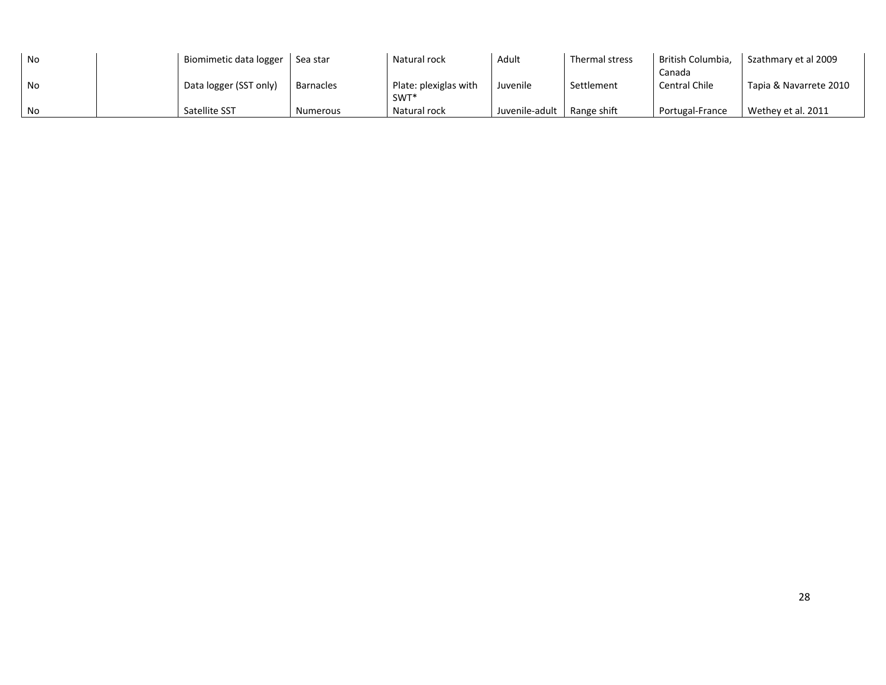| No | Biomimetic data logger | Sea star        | Natural rock          | Adult          | Thermal stress | British Columbia.    | Szathmary et al 2009   |
|----|------------------------|-----------------|-----------------------|----------------|----------------|----------------------|------------------------|
|    |                        |                 |                       |                |                | Canada               |                        |
| No | Data logger (SST only) | Barnacles       | Plate: plexiglas with | Juvenile       | Settlement     | <b>Central Chile</b> | Tapia & Navarrete 2010 |
|    |                        |                 | SWT*                  |                |                |                      |                        |
| No | Satellite SST          | <b>Numerous</b> | Natural rock          | Juvenile-adult | Range shift    | Portugal-France      | Wethey et al. 2011     |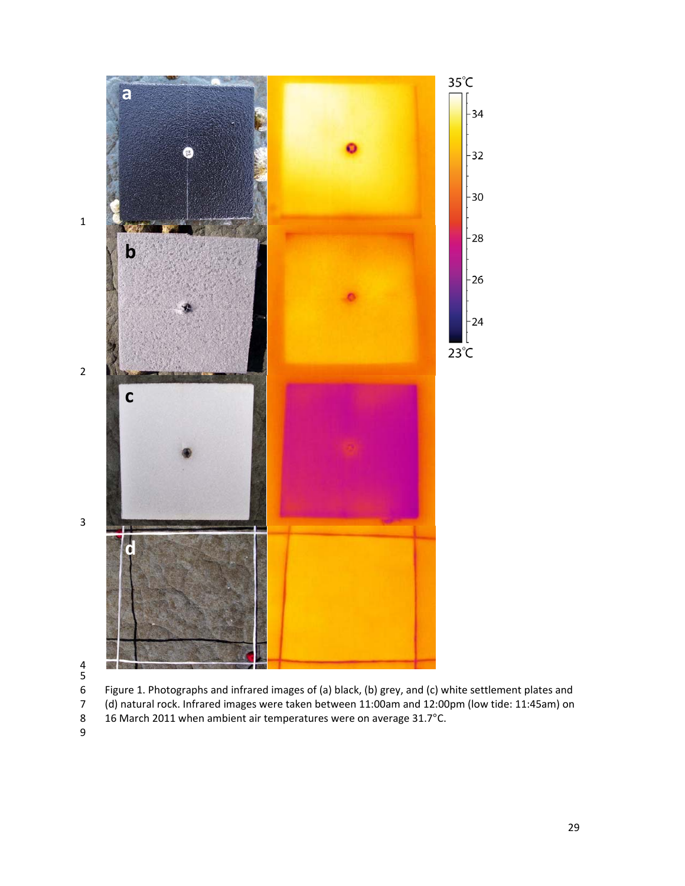



 Figure 1. Photographs and infrared images of (a) black, (b) grey, and (c) white settlement plates and (d) natural rock. Infrared images were taken between 11:00am and 12:00pm (low tide: 11:45am) on

- 8 16 March 2011 when ambient air temperatures were on average 31.7°C.<br>9
-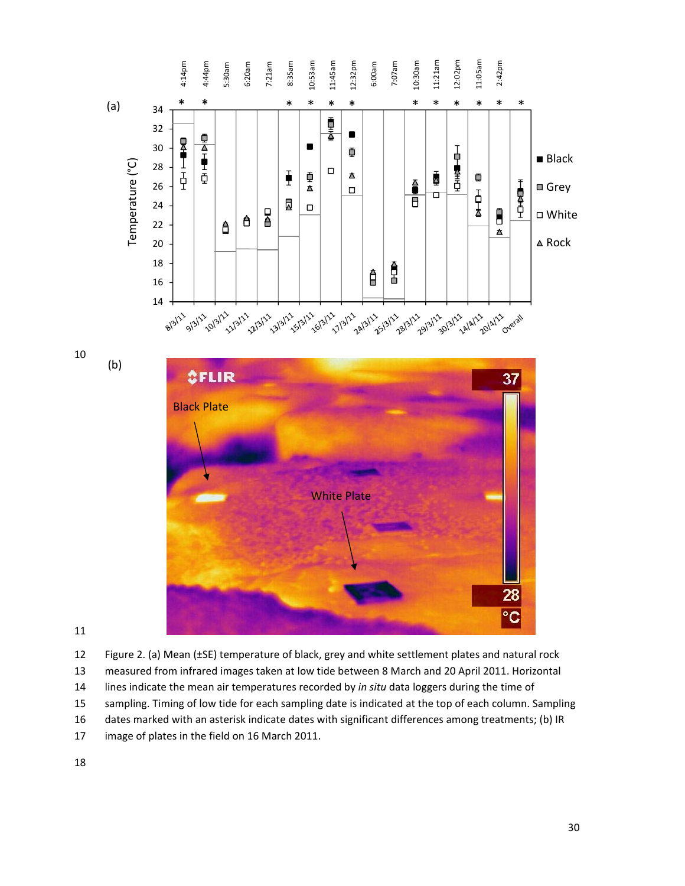

11

12 Figure 2. (a) Mean (±SE) temperature of black, grey and white settlement plates and natural rock 13 measured from infrared images taken at low tide between 8 March and 20 April 2011. Horizontal 14 lines indicate the mean air temperatures recorded by *in situ* data loggers during the time of 15 sampling. Timing of low tide for each sampling date is indicated at the top of each column. Sampling 16 dates marked with an asterisk indicate dates with significant differences among treatments; (b) IR 17 image of plates in the field on 16 March 2011.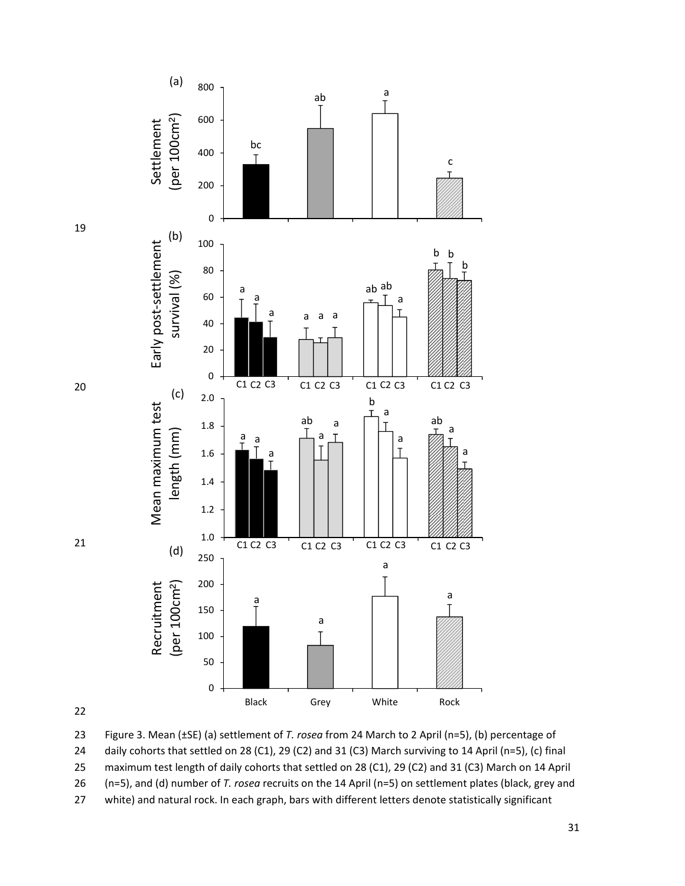



20

21